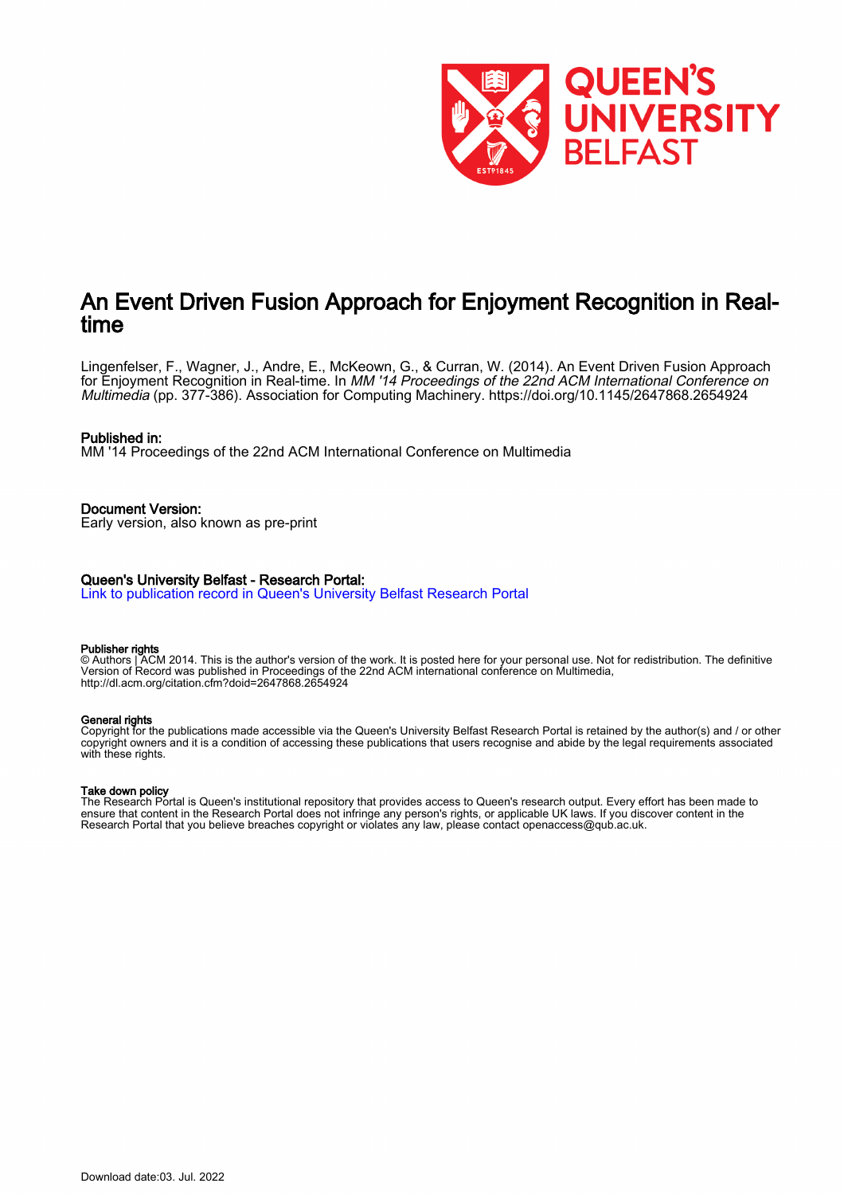

# An Event Driven Fusion Approach for Enjoyment Recognition in Realtime

Lingenfelser, F., Wagner, J., Andre, E., McKeown, G., & Curran, W. (2014). An Event Driven Fusion Approach for Enjoyment Recognition in Real-time. In MM '14 Proceedings of the 22nd ACM International Conference on Multimedia (pp. 377-386). Association for Computing Machinery. <https://doi.org/10.1145/2647868.2654924>

#### Published in:

MM '14 Proceedings of the 22nd ACM International Conference on Multimedia

Document Version: Early version, also known as pre-print

#### Queen's University Belfast - Research Portal:

[Link to publication record in Queen's University Belfast Research Portal](https://pure.qub.ac.uk/en/publications/b40169c3-42a4-4229-8920-21bb8e32e37f)

#### Publisher rights

© Authors | ACM 2014. This is the author's version of the work. It is posted here for your personal use. Not for redistribution. The definitive Version of Record was published in Proceedings of the 22nd ACM international conference on Multimedia, http://dl.acm.org/citation.cfm?doid=2647868.2654924

#### General rights

Copyright for the publications made accessible via the Queen's University Belfast Research Portal is retained by the author(s) and / or other copyright owners and it is a condition of accessing these publications that users recognise and abide by the legal requirements associated with these rights.

#### Take down policy

The Research Portal is Queen's institutional repository that provides access to Queen's research output. Every effort has been made to ensure that content in the Research Portal does not infringe any person's rights, or applicable UK laws. If you discover content in the Research Portal that you believe breaches copyright or violates any law, please contact openaccess@qub.ac.uk.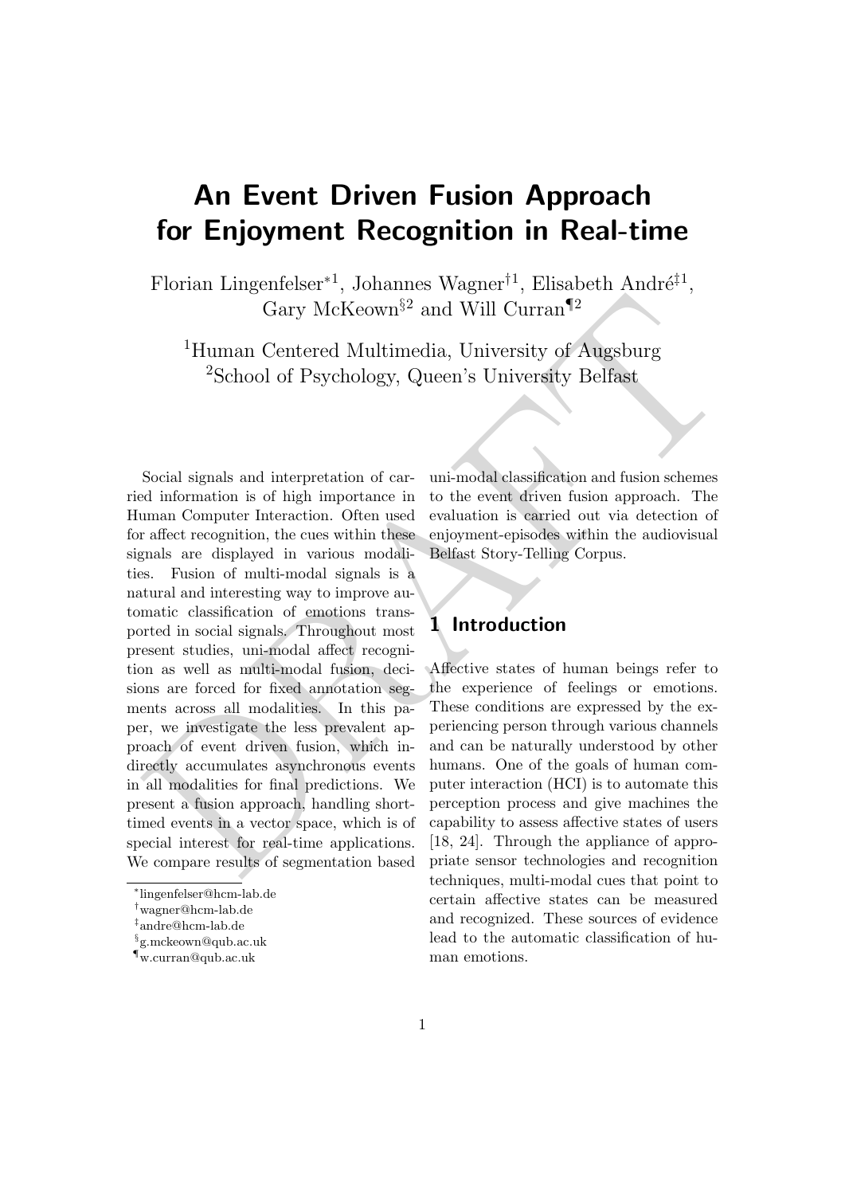# An Event Driven Fusion Approach for Enjoyment Recognition in Real-time

Florian Lingenfelser<sup>\*1</sup>, Johannes Wagner<sup>†1</sup>, Elisabeth André<sup>‡1</sup>, Gary McKeown<sup>§2</sup> and Will Curran<sup>¶2</sup>

<sup>1</sup>Human Centered Multimedia, University of Augsburg <sup>2</sup>School of Psychology, Queen's University Belfast

 $\begin{minipage}[t]{0.5\textwidth} \begin{tabular}{p{0.8cm}} \multicolumn{1}{c}{\textbf{Gary McKeown$$^32$ and Will Current$^2$} \end{tabular} \vspace{0.1cm} \begin{tabular}{p{0.8cm}} \multicolumn{1}{c}{\textbf{Human Centered Multimedia, University of Augsburg $^2$Sehool of Psychology, Queen's University of Augsburg $^2$Sehool of Psychology, Queen's University Belfast\\ & \multicolumn{1}{c}{\textbf{Aissification and fusion schemes}} \end{tabular} \vspace{0.1cm} \begin{tabular}[t]{l@{0.8cm}} \hline \multicolumn{1}{c}{\textbf{Aissification and fusion schemes$ Social signals and interpretation of carried information is of high importance in Human Computer Interaction. Often used for affect recognition, the cues within these signals are displayed in various modalities. Fusion of multi-modal signals is a natural and interesting way to improve automatic classification of emotions transported in social signals. Throughout most present studies, uni-modal affect recognition as well as multi-modal fusion, decisions are forced for fixed annotation segments across all modalities. In this paper, we investigate the less prevalent approach of event driven fusion, which indirectly accumulates asynchronous events in all modalities for final predictions. We present a fusion approach, handling shorttimed events in a vector space, which is of special interest for real-time applications. We compare results of segmentation based

uni-modal classification and fusion schemes to the event driven fusion approach. The evaluation is carried out via detection of enjoyment-episodes within the audiovisual Belfast Story-Telling Corpus.

# 1 Introduction

Affective states of human beings refer to the experience of feelings or emotions. These conditions are expressed by the experiencing person through various channels and can be naturally understood by other humans. One of the goals of human computer interaction (HCI) is to automate this perception process and give machines the capability to assess affective states of users [18, 24]. Through the appliance of appropriate sensor technologies and recognition techniques, multi-modal cues that point to certain affective states can be measured and recognized. These sources of evidence lead to the automatic classification of human emotions.

<sup>∗</sup> lingenfelser@hcm-lab.de

<sup>†</sup>wagner@hcm-lab.de

<sup>‡</sup> andre@hcm-lab.de

<sup>§</sup> g.mckeown@qub.ac.uk

<sup>¶</sup>w.curran@qub.ac.uk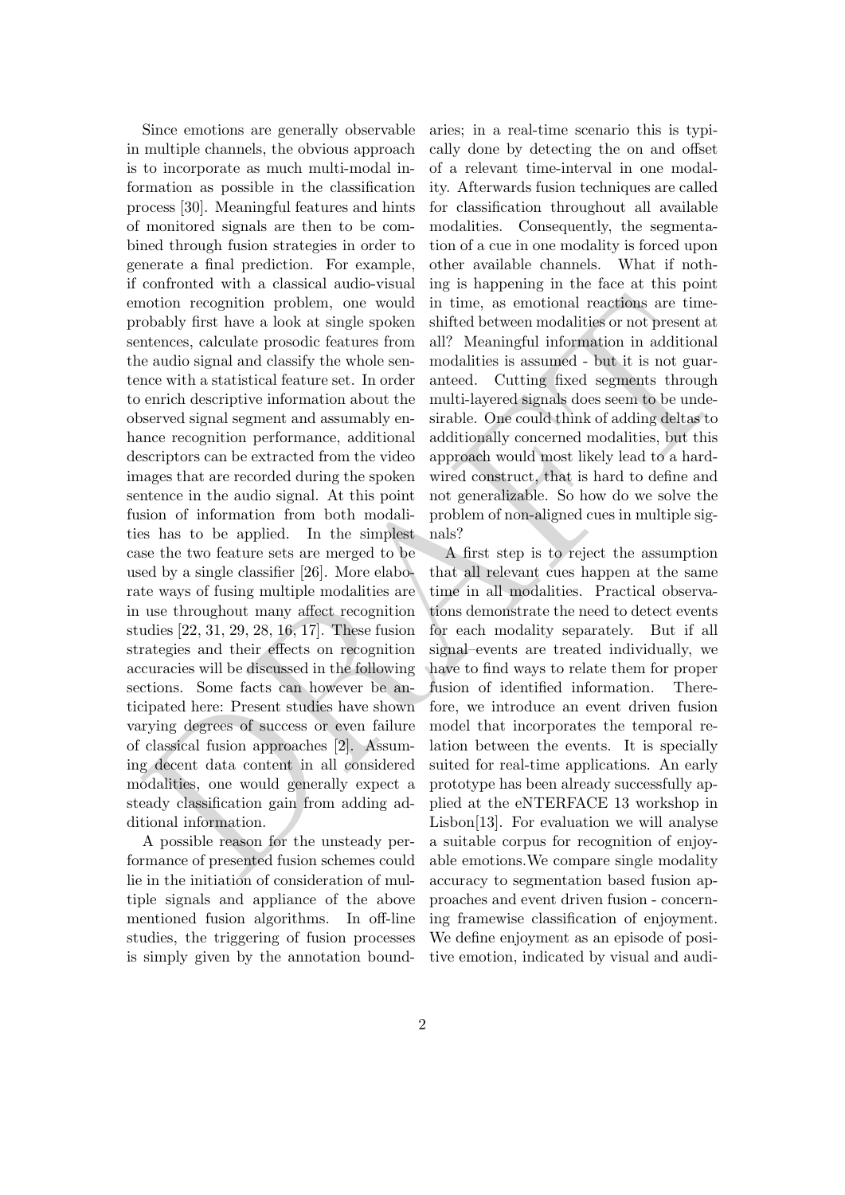notion recognition problem, one would in time, as emotional reactions are time-<br>obtably first have a look at single spoken shifted between modallities<br>of not present at the secure to the and the secure in the secure in th Since emotions are generally observable in multiple channels, the obvious approach is to incorporate as much multi-modal information as possible in the classification process [30]. Meaningful features and hints of monitored signals are then to be combined through fusion strategies in order to generate a final prediction. For example, if confronted with a classical audio-visual emotion recognition problem, one would probably first have a look at single spoken sentences, calculate prosodic features from the audio signal and classify the whole sentence with a statistical feature set. In order to enrich descriptive information about the observed signal segment and assumably enhance recognition performance, additional descriptors can be extracted from the video images that are recorded during the spoken sentence in the audio signal. At this point fusion of information from both modalities has to be applied. In the simplest case the two feature sets are merged to be used by a single classifier [26]. More elaborate ways of fusing multiple modalities are in use throughout many affect recognition studies [22, 31, 29, 28, 16, 17]. These fusion strategies and their effects on recognition accuracies will be discussed in the following sections. Some facts can however be anticipated here: Present studies have shown varying degrees of success or even failure of classical fusion approaches [2]. Assuming decent data content in all considered modalities, one would generally expect a steady classification gain from adding additional information.

A possible reason for the unsteady performance of presented fusion schemes could lie in the initiation of consideration of multiple signals and appliance of the above mentioned fusion algorithms. In off-line studies, the triggering of fusion processes is simply given by the annotation boundaries; in a real-time scenario this is typically done by detecting the on and offset of a relevant time-interval in one modality. Afterwards fusion techniques are called for classification throughout all available modalities. Consequently, the segmentation of a cue in one modality is forced upon other available channels. What if nothing is happening in the face at this point in time, as emotional reactions are timeshifted between modalities or not present at all? Meaningful information in additional modalities is assumed - but it is not guaranteed. Cutting fixed segments through multi-layered signals does seem to be undesirable. One could think of adding deltas to additionally concerned modalities, but this approach would most likely lead to a hardwired construct, that is hard to define and not generalizable. So how do we solve the problem of non-aligned cues in multiple signals?

A first step is to reject the assumption that all relevant cues happen at the same time in all modalities. Practical observations demonstrate the need to detect events for each modality separately. But if all signal–events are treated individually, we have to find ways to relate them for proper fusion of identified information. Therefore, we introduce an event driven fusion model that incorporates the temporal relation between the events. It is specially suited for real-time applications. An early prototype has been already successfully applied at the eNTERFACE 13 workshop in Lisbon[13]. For evaluation we will analyse a suitable corpus for recognition of enjoyable emotions.We compare single modality accuracy to segmentation based fusion approaches and event driven fusion - concerning framewise classification of enjoyment. We define enjoyment as an episode of positive emotion, indicated by visual and audi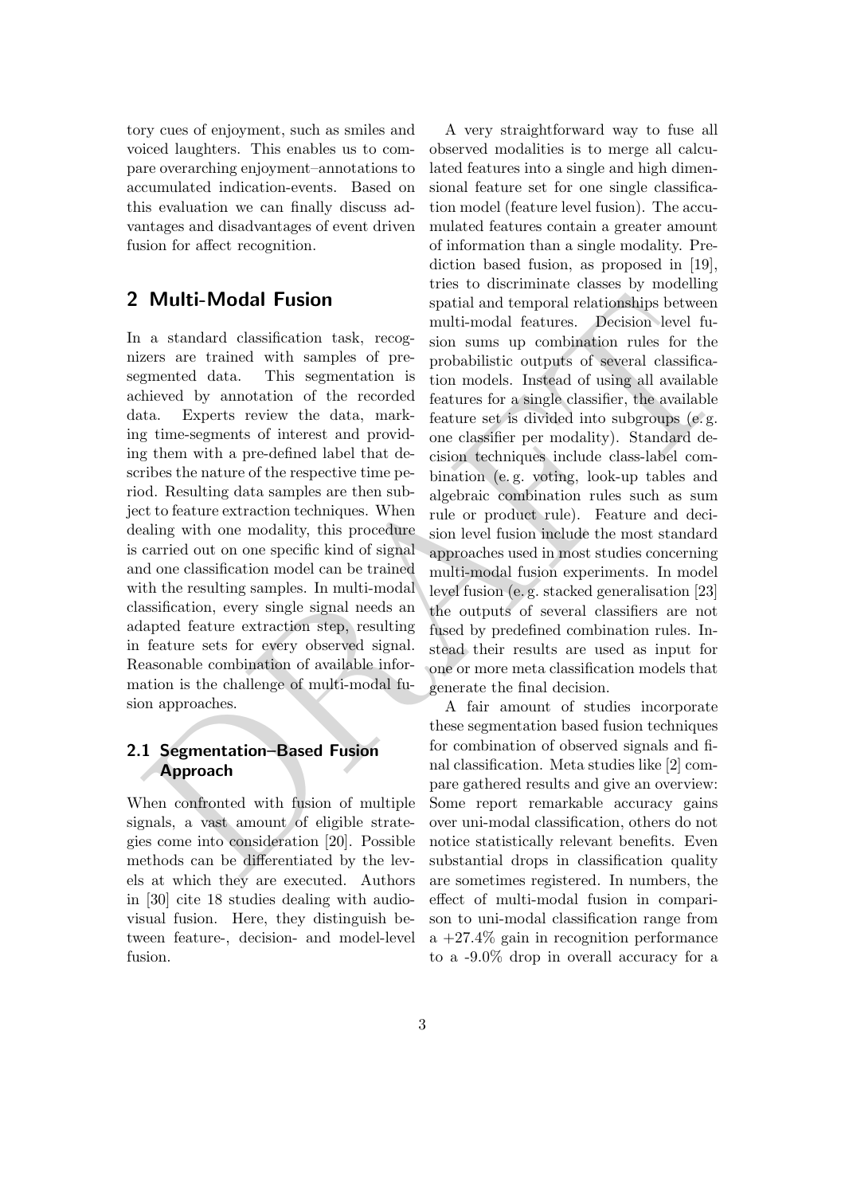tory cues of enjoyment, such as smiles and voiced laughters. This enables us to compare overarching enjoyment–annotations to accumulated indication-events. Based on this evaluation we can finally discuss advantages and disadvantages of event driven fusion for affect recognition.

# 2 Multi-Modal Fusion

In a standard classification task, recognizers are trained with samples of presegmented data. This segmentation is achieved by annotation of the recorded data. Experts review the data, marking time-segments of interest and providing them with a pre-defined label that describes the nature of the respective time period. Resulting data samples are then subject to feature extraction techniques. When dealing with one modality, this procedure is carried out on one specific kind of signal and one classification model can be trained with the resulting samples. In multi-modal classification, every single signal needs an adapted feature extraction step, resulting in feature sets for every observed signal. Reasonable combination of available information is the challenge of multi-modal fusion approaches.

## 2.1 Segmentation–Based Fusion Approach

When confronted with fusion of multiple signals, a vast amount of eligible strategies come into consideration [20]. Possible methods can be differentiated by the levels at which they are executed. Authors in [30] cite 18 studies dealing with audiovisual fusion. Here, they distinguish between feature-, decision- and model-level fusion.

**Multi-Modal Fusion** spatial and temporal relationships between<br>mathemold fusions multi-modal features. Becausing test in the space sion sums up combination rules for<br>the generated data. This segmentation is tion models, A very straightforward way to fuse all observed modalities is to merge all calculated features into a single and high dimensional feature set for one single classification model (feature level fusion). The accumulated features contain a greater amount of information than a single modality. Prediction based fusion, as proposed in [19], tries to discriminate classes by modelling spatial and temporal relationships between multi-modal features. Decision level fusion sums up combination rules for the probabilistic outputs of several classification models. Instead of using all available features for a single classifier, the available feature set is divided into subgroups (e. g. one classifier per modality). Standard decision techniques include class-label combination (e. g. voting, look-up tables and algebraic combination rules such as sum rule or product rule). Feature and decision level fusion include the most standard approaches used in most studies concerning multi-modal fusion experiments. In model level fusion (e. g. stacked generalisation [23] the outputs of several classifiers are not fused by predefined combination rules. Instead their results are used as input for one or more meta classification models that generate the final decision.

A fair amount of studies incorporate these segmentation based fusion techniques for combination of observed signals and final classification. Meta studies like [2] compare gathered results and give an overview: Some report remarkable accuracy gains over uni-modal classification, others do not notice statistically relevant benefits. Even substantial drops in classification quality are sometimes registered. In numbers, the effect of multi-modal fusion in comparison to uni-modal classification range from  $a +27.4\%$  gain in recognition performance to a -9.0% drop in overall accuracy for a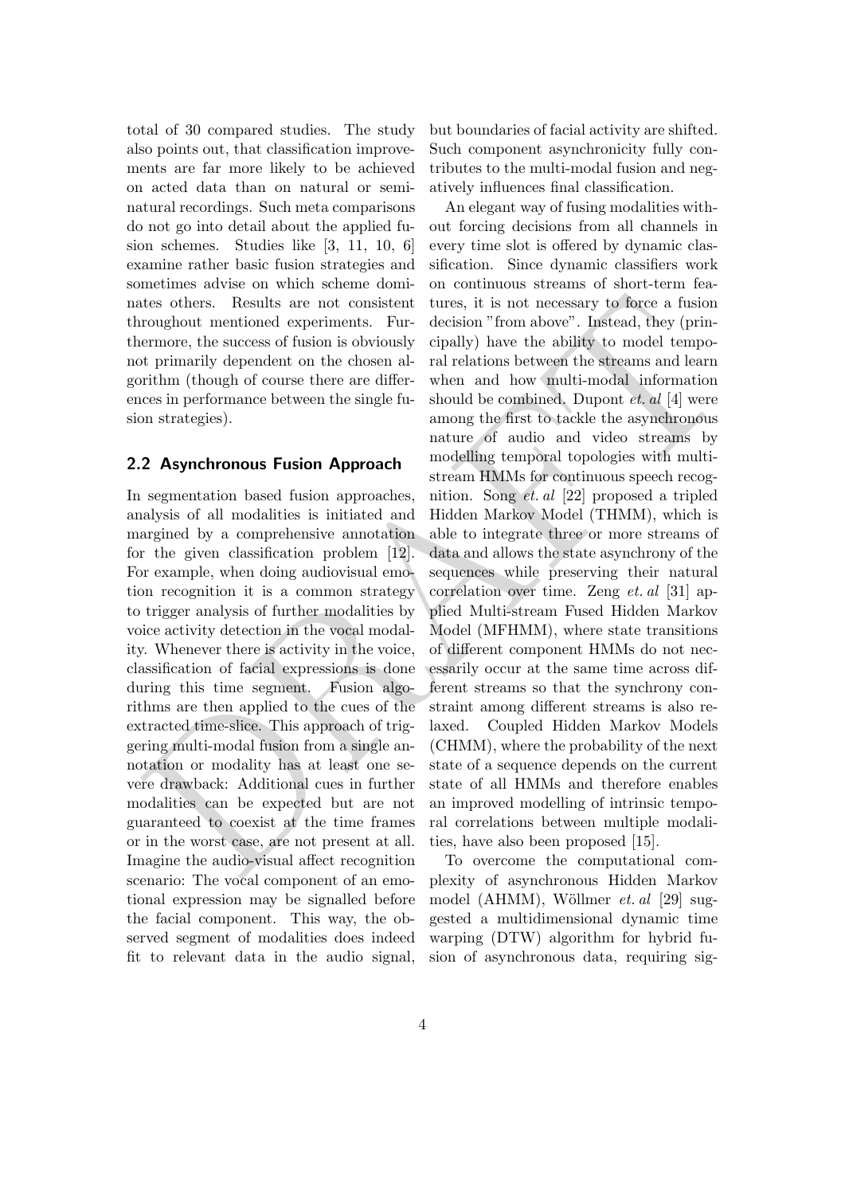total of 30 compared studies. The study also points out, that classification improvements are far more likely to be achieved on acted data than on natural or seminatural recordings. Such meta comparisons do not go into detail about the applied fusion schemes. Studies like [3, 11, 10, 6] examine rather basic fusion strategies and sometimes advise on which scheme dominates others. Results are not consistent throughout mentioned experiments. Furthermore, the success of fusion is obviously not primarily dependent on the chosen algorithm (though of course there are differences in performance between the single fusion strategies).

#### 2.2 Asynchronous Fusion Approach

In segmentation based fusion approaches, analysis of all modalities is initiated and margined by a comprehensive annotation for the given classification problem [12]. For example, when doing audiovisual emotion recognition it is a common strategy to trigger analysis of further modalities by voice activity detection in the vocal modality. Whenever there is activity in the voice, classification of facial expressions is done during this time segment. Fusion algorithms are then applied to the cues of the extracted time-slice. This approach of triggering multi-modal fusion from a single annotation or modality has at least one severe drawback: Additional cues in further modalities can be expected but are not guaranteed to coexist at the time frames or in the worst case, are not present at all. Imagine the audio-visual affect recognition scenario: The vocal component of an emotional expression may be signalled before the facial component. This way, the observed segment of modalities does indeed fit to relevant data in the audio signal, but boundaries of facial activity are shifted. Such component asynchronicity fully contributes to the multi-modal fusion and negatively influences final classification.

ates others. Results are not consistent tures, it is not necessary to force a fusion regrequent mentioned experiments. Fur-decision "from above", therets of the properties from the solution of the properties in performand An elegant way of fusing modalities without forcing decisions from all channels in every time slot is offered by dynamic classification. Since dynamic classifiers work on continuous streams of short-term features, it is not necessary to force a fusion decision "from above". Instead, they (principally) have the ability to model temporal relations between the streams and learn when and how multi-modal information should be combined. Dupont et. al [4] were among the first to tackle the asynchronous nature of audio and video streams by modelling temporal topologies with multistream HMMs for continuous speech recognition. Song et. al [22] proposed a tripled Hidden Markov Model (THMM), which is able to integrate three or more streams of data and allows the state asynchrony of the sequences while preserving their natural correlation over time. Zeng et. al [31] applied Multi-stream Fused Hidden Markov Model (MFHMM), where state transitions of different component HMMs do not necessarily occur at the same time across different streams so that the synchrony constraint among different streams is also relaxed. Coupled Hidden Markov Models (CHMM), where the probability of the next state of a sequence depends on the current state of all HMMs and therefore enables an improved modelling of intrinsic temporal correlations between multiple modalities, have also been proposed [15].

To overcome the computational complexity of asynchronous Hidden Markov model (AHMM), Wöllmer  $et. al$  [29] suggested a multidimensional dynamic time warping (DTW) algorithm for hybrid fusion of asynchronous data, requiring sig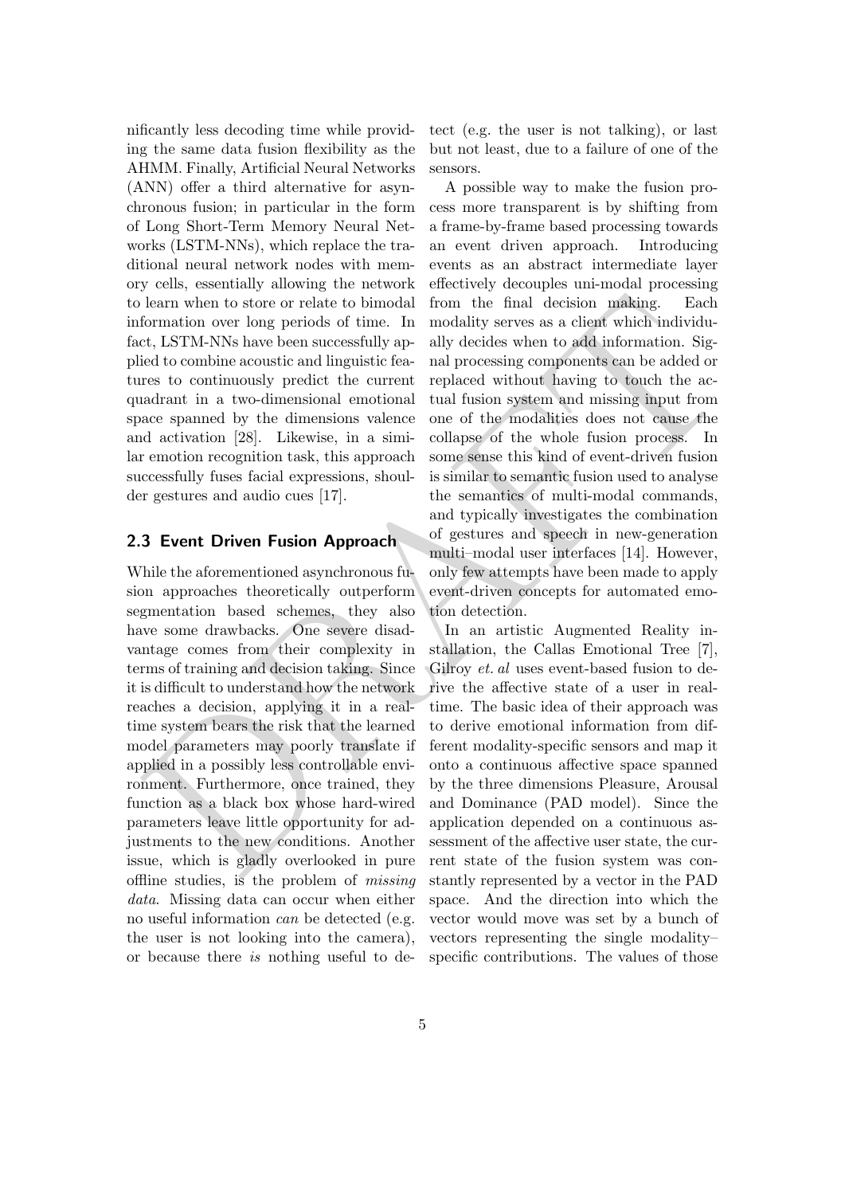nificantly less decoding time while providing the same data fusion flexibility as the AHMM. Finally, Artificial Neural Networks (ANN) offer a third alternative for asynchronous fusion; in particular in the form of Long Short-Term Memory Neural Networks (LSTM-NNs), which replace the traditional neural network nodes with memory cells, essentially allowing the network to learn when to store or relate to bimodal information over long periods of time. In fact, LSTM-NNs have been successfully applied to combine acoustic and linguistic features to continuously predict the current quadrant in a two-dimensional emotional space spanned by the dimensions valence and activation [28]. Likewise, in a similar emotion recognition task, this approach successfully fuses facial expressions, shoulder gestures and audio cues [17].

#### 2.3 Event Driven Fusion Approach

While the aforementioned asynchronous fusion approaches theoretically outperform segmentation based schemes, they also have some drawbacks. One severe disadvantage comes from their complexity in terms of training and decision taking. Since it is difficult to understand how the network reaches a decision, applying it in a realtime system bears the risk that the learned model parameters may poorly translate if applied in a possibly less controllable environment. Furthermore, once trained, they function as a black box whose hard-wired parameters leave little opportunity for adjustments to the new conditions. Another issue, which is gladly overlooked in pure offline studies, is the problem of missing data. Missing data can occur when either no useful information can be detected (e.g. the user is not looking into the camera), or because there is nothing useful to detect (e.g. the user is not talking), or last but not least, due to a failure of one of the sensors.

learn when to store or relate to bimodal from the final decision making. Each<br>formation over long periods of time. In modality serves as a client which in<br>individual combine acoustic and linguistic fear- nal processing co A possible way to make the fusion process more transparent is by shifting from a frame-by-frame based processing towards an event driven approach. Introducing events as an abstract intermediate layer effectively decouples uni-modal processing from the final decision making. Each modality serves as a client which individually decides when to add information. Signal processing components can be added or replaced without having to touch the actual fusion system and missing input from one of the modalities does not cause the collapse of the whole fusion process. In some sense this kind of event-driven fusion is similar to semantic fusion used to analyse the semantics of multi-modal commands, and typically investigates the combination of gestures and speech in new-generation multi–modal user interfaces [14]. However, only few attempts have been made to apply event-driven concepts for automated emotion detection.

In an artistic Augmented Reality installation, the Callas Emotional Tree [7], Gilroy *et. al* uses event-based fusion to derive the affective state of a user in realtime. The basic idea of their approach was to derive emotional information from different modality-specific sensors and map it onto a continuous affective space spanned by the three dimensions Pleasure, Arousal and Dominance (PAD model). Since the application depended on a continuous assessment of the affective user state, the current state of the fusion system was constantly represented by a vector in the PAD space. And the direction into which the vector would move was set by a bunch of vectors representing the single modality– specific contributions. The values of those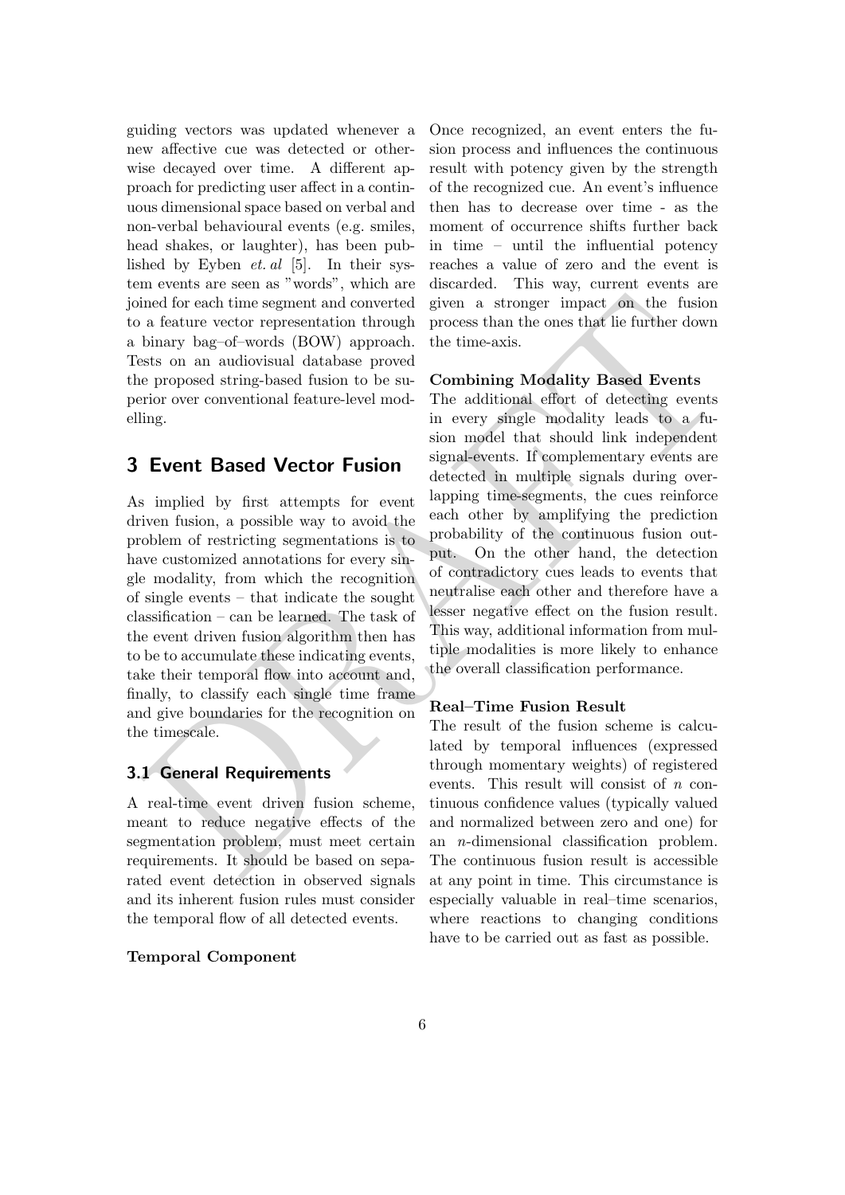guiding vectors was updated whenever a new affective cue was detected or otherwise decayed over time. A different approach for predicting user affect in a continuous dimensional space based on verbal and non-verbal behavioural events (e.g. smiles, head shakes, or laughter), has been published by Eyben  $et.$  al [5]. In their system events are seen as "words", which are joined for each time segment and converted to a feature vector representation through a binary bag–of–words (BOW) approach. Tests on an audiovisual database proved the proposed string-based fusion to be superior over conventional feature-level modelling.

# 3 Event Based Vector Fusion

As implied by first attempts for event driven fusion, a possible way to avoid the problem of restricting segmentations is to have customized annotations for every single modality, from which the recognition of single events – that indicate the sought classification – can be learned. The task of the event driven fusion algorithm then has to be to accumulate these indicating events, take their temporal flow into account and, finally, to classify each single time frame and give boundaries for the recognition on the timescale.

#### 3.1 General Requirements

A real-time event driven fusion scheme, meant to reduce negative effects of the segmentation problem, must meet certain requirements. It should be based on separated event detection in observed signals and its inherent fusion rules must consider the temporal flow of all detected events.

#### Temporal Component

Once recognized, an event enters the fusion process and influences the continuous result with potency given by the strength of the recognized cue. An event's influence then has to decrease over time - as the moment of occurrence shifts further back in time – until the influential potency reaches a value of zero and the event is discarded. This way, current events are given a stronger impact on the fusion process than the ones that lie further down the time-axis.

#### Combining Modality Based Events

ined for each time segment and converted given a stronger impact on the fusion a facture vector representation through process than the ones that lie further down binary bag of words (BOW) approach. the time-axis. Sets on The additional effort of detecting events in every single modality leads to a fusion model that should link independent signal-events. If complementary events are detected in multiple signals during overlapping time-segments, the cues reinforce each other by amplifying the prediction probability of the continuous fusion output. On the other hand, the detection of contradictory cues leads to events that neutralise each other and therefore have a lesser negative effect on the fusion result. This way, additional information from multiple modalities is more likely to enhance the overall classification performance.

#### Real–Time Fusion Result

The result of the fusion scheme is calculated by temporal influences (expressed through momentary weights) of registered events. This result will consist of n continuous confidence values (typically valued and normalized between zero and one) for an n-dimensional classification problem. The continuous fusion result is accessible at any point in time. This circumstance is especially valuable in real–time scenarios, where reactions to changing conditions have to be carried out as fast as possible.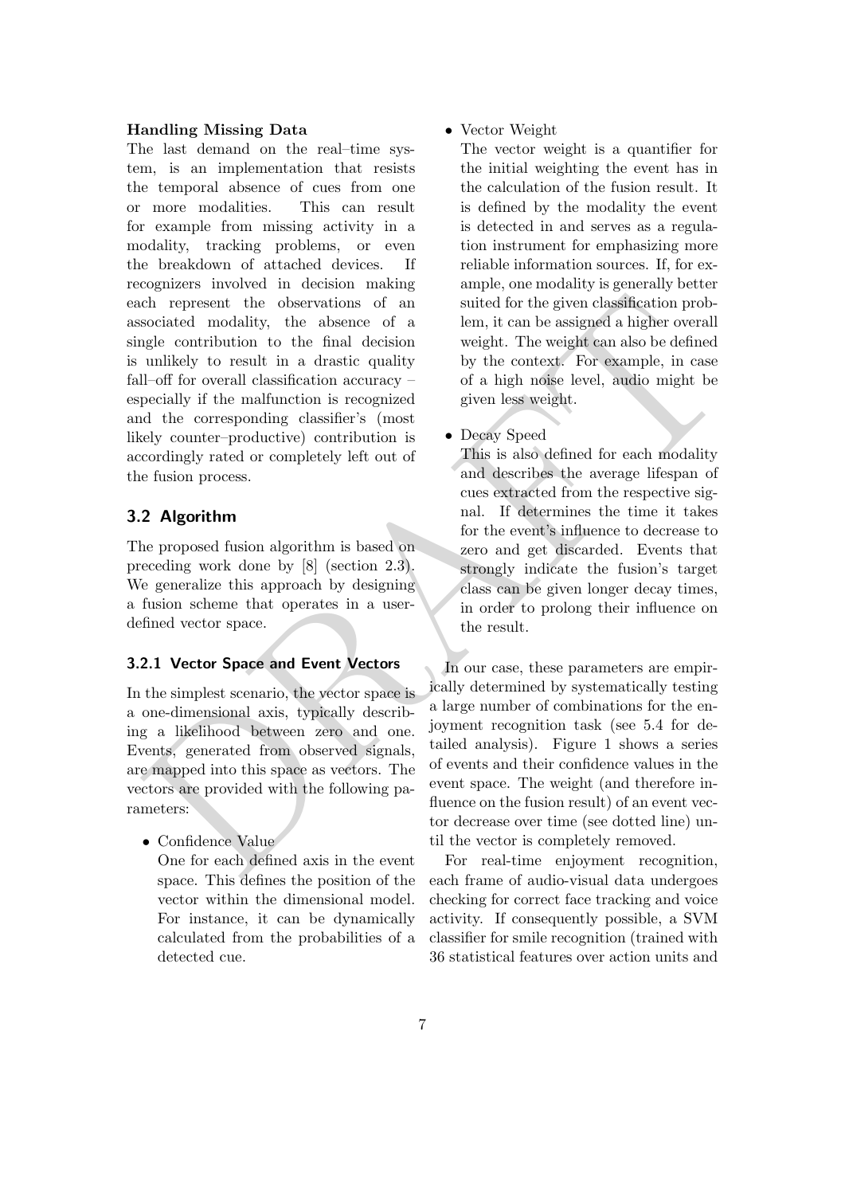#### Handling Missing Data

The last demand on the real–time system, is an implementation that resists the temporal absence of cues from one or more modalities. This can result for example from missing activity in a modality, tracking problems, or even the breakdown of attached devices. If recognizers involved in decision making each represent the observations of an associated modality, the absence of a single contribution to the final decision is unlikely to result in a drastic quality fall–off for overall classification accuracy – especially if the malfunction is recognized and the corresponding classifier's (most likely counter–productive) contribution is accordingly rated or completely left out of the fusion process.

#### 3.2 Algorithm

The proposed fusion algorithm is based on preceding work done by [8] (section 2.3). We generalize this approach by designing a fusion scheme that operates in a userdefined vector space.

#### 3.2.1 Vector Space and Event Vectors

In the simplest scenario, the vector space is a one-dimensional axis, typically describing a likelihood between zero and one. Events, generated from observed signals, are mapped into this space as vectors. The vectors are provided with the following parameters:

• Confidence Value

One for each defined axis in the event space. This defines the position of the vector within the dimensional model. For instance, it can be dynamically calculated from the probabilities of a detected cue.

• Vector Weight

The vector weight is a quantifier for the initial weighting the event has in the calculation of the fusion result. It is defined by the modality the event is detected in and serves as a regulation instrument for emphasizing more reliable information sources. If, for example, one modality is generally better suited for the given classification problem, it can be assigned a higher overall weight. The weight can also be defined by the context. For example, in case of a high noise level, audio might be given less weight.

• Decay Speed

This is also defined for each modality and describes the average lifespan of cues extracted from the respective signal. If determines the time it takes for the event's influence to decrease to zero and get discarded. Events that strongly indicate the fusion's target class can be given longer decay times, in order to prolong their influence on the result.

che represent the observations of an suited for the given classification prob-<br>solution conditively, the absence of a lem, it can be usigned a higher overall change<br>in the distribution to the final decision weight. The we In our case, these parameters are empirically determined by systematically testing a large number of combinations for the enjoyment recognition task (see 5.4 for detailed analysis). Figure 1 shows a series of events and their confidence values in the event space. The weight (and therefore influence on the fusion result) of an event vector decrease over time (see dotted line) until the vector is completely removed.

For real-time enjoyment recognition, each frame of audio-visual data undergoes checking for correct face tracking and voice activity. If consequently possible, a SVM classifier for smile recognition (trained with 36 statistical features over action units and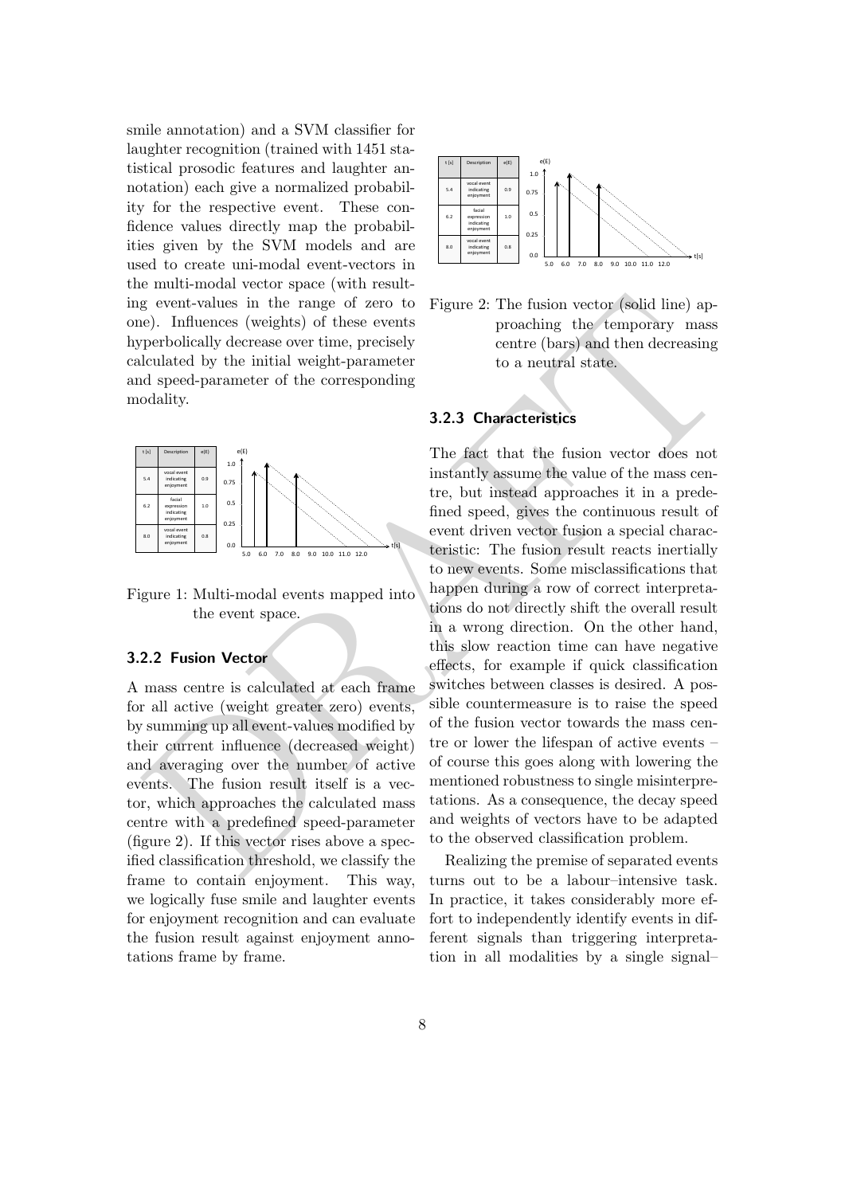smile annotation) and a SVM classifier for laughter recognition (trained with 1451 statistical prosodic features and laughter annotation) each give a normalized probability for the respective event. These confidence values directly map the probabilities given by the SVM models and are used to create uni-modal event-vectors in the multi-modal vector space (with resulting event-values in the range of zero to one). Influences (weights) of these events hyperbolically decrease over time, precisely calculated by the initial weight-parameter and speed-parameter of the corresponding modality.



Figure 1: Multi-modal events mapped into the event space.

#### 3.2.2 Fusion Vector

A mass centre is calculated at each frame for all active (weight greater zero) events, by summing up all event-values modified by their current influence (decreased weight) and averaging over the number of active events. The fusion result itself is a vector, which approaches the calculated mass centre with a predefined speed-parameter (figure 2). If this vector rises above a specified classification threshold, we classify the frame to contain enjoyment. This way, we logically fuse smile and laughter events for enjoyment recognition and can evaluate the fusion result against enjoyment annotations frame by frame.



Figure 2: The fusion vector (solid line) approaching the temporary mass centre (bars) and then decreasing to a neutral state.

#### 3.2.3 Characteristics

g event-values in the range of zero to Figure 2: The fusion vector (solid line) ap-<br>
(e)- Influences (weights) of these events proceding the temporary mass<br>
leventhed by the initial weight-parameter to a neutral state.<br>
L The fact that the fusion vector does not instantly assume the value of the mass centre, but instead approaches it in a predefined speed, gives the continuous result of event driven vector fusion a special characteristic: The fusion result reacts inertially to new events. Some misclassifications that happen during a row of correct interpretations do not directly shift the overall result in a wrong direction. On the other hand, this slow reaction time can have negative effects, for example if quick classification switches between classes is desired. A possible countermeasure is to raise the speed of the fusion vector towards the mass centre or lower the lifespan of active events – of course this goes along with lowering the mentioned robustness to single misinterpretations. As a consequence, the decay speed and weights of vectors have to be adapted to the observed classification problem.

Realizing the premise of separated events turns out to be a labour–intensive task. In practice, it takes considerably more effort to independently identify events in different signals than triggering interpretation in all modalities by a single signal–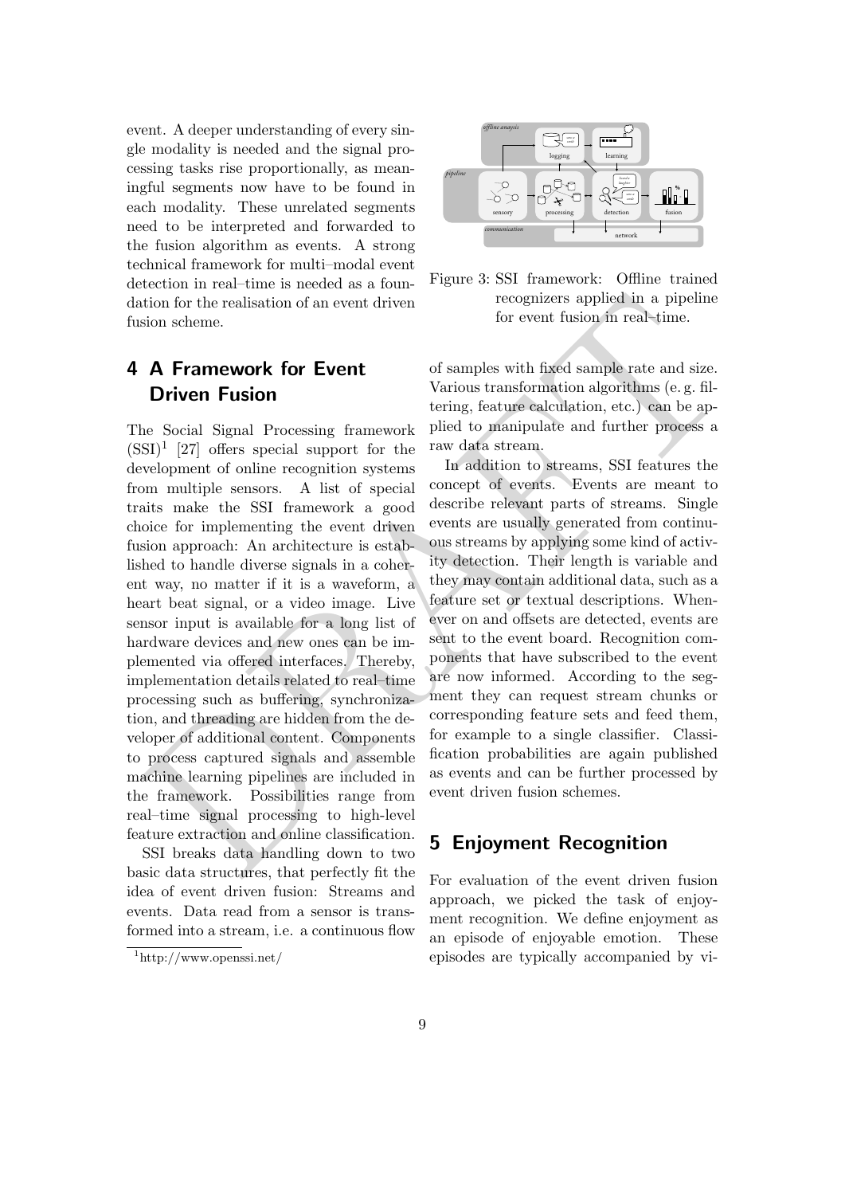event. A deeper understanding of every single modality is needed and the signal processing tasks rise proportionally, as meaningful segments now have to be found in each modality. These unrelated segments need to be interpreted and forwarded to the fusion algorithm as events. A strong technical framework for multi–modal event detection in real–time is needed as a foundation for the realisation of an event driven fusion scheme.

# 4 A Framework for Event Driven Fusion

tion for the realisation of an event driven<br>
for the realisation of an event driven<br>
for event fusion in real-time.<br> **A Framework for Event**<br>
of samples with fixed sample rate and size.<br> **Driven Fusion**<br>
Various transform The Social Signal Processing framework  $(SSI)^1$  [27] offers special support for the development of online recognition systems from multiple sensors. A list of special traits make the SSI framework a good choice for implementing the event driven fusion approach: An architecture is established to handle diverse signals in a coherent way, no matter if it is a waveform, a heart beat signal, or a video image. Live sensor input is available for a long list of hardware devices and new ones can be implemented via offered interfaces. Thereby, implementation details related to real–time processing such as buffering, synchronization, and threading are hidden from the developer of additional content. Components to process captured signals and assemble machine learning pipelines are included in the framework. Possibilities range from real–time signal processing to high-level feature extraction and online classification.

SSI breaks data handling down to two basic data structures, that perfectly fit the idea of event driven fusion: Streams and events. Data read from a sensor is transformed into a stream, i.e. a continuous flow



Figure 3: SSI framework: Offline trained recognizers applied in a pipeline for event fusion in real–time.

of samples with fixed sample rate and size. Various transformation algorithms (e. g. filtering, feature calculation, etc.) can be applied to manipulate and further process a raw data stream.

In addition to streams, SSI features the concept of events. Events are meant to describe relevant parts of streams. Single events are usually generated from continuous streams by applying some kind of activity detection. Their length is variable and they may contain additional data, such as a feature set or textual descriptions. Whenever on and offsets are detected, events are sent to the event board. Recognition components that have subscribed to the event are now informed. According to the segment they can request stream chunks or corresponding feature sets and feed them, for example to a single classifier. Classification probabilities are again published as events and can be further processed by event driven fusion schemes.

# 5 Enjoyment Recognition

For evaluation of the event driven fusion approach, we picked the task of enjoyment recognition. We define enjoyment as an episode of enjoyable emotion. These episodes are typically accompanied by vi-

<sup>1</sup>http://www.openssi.net/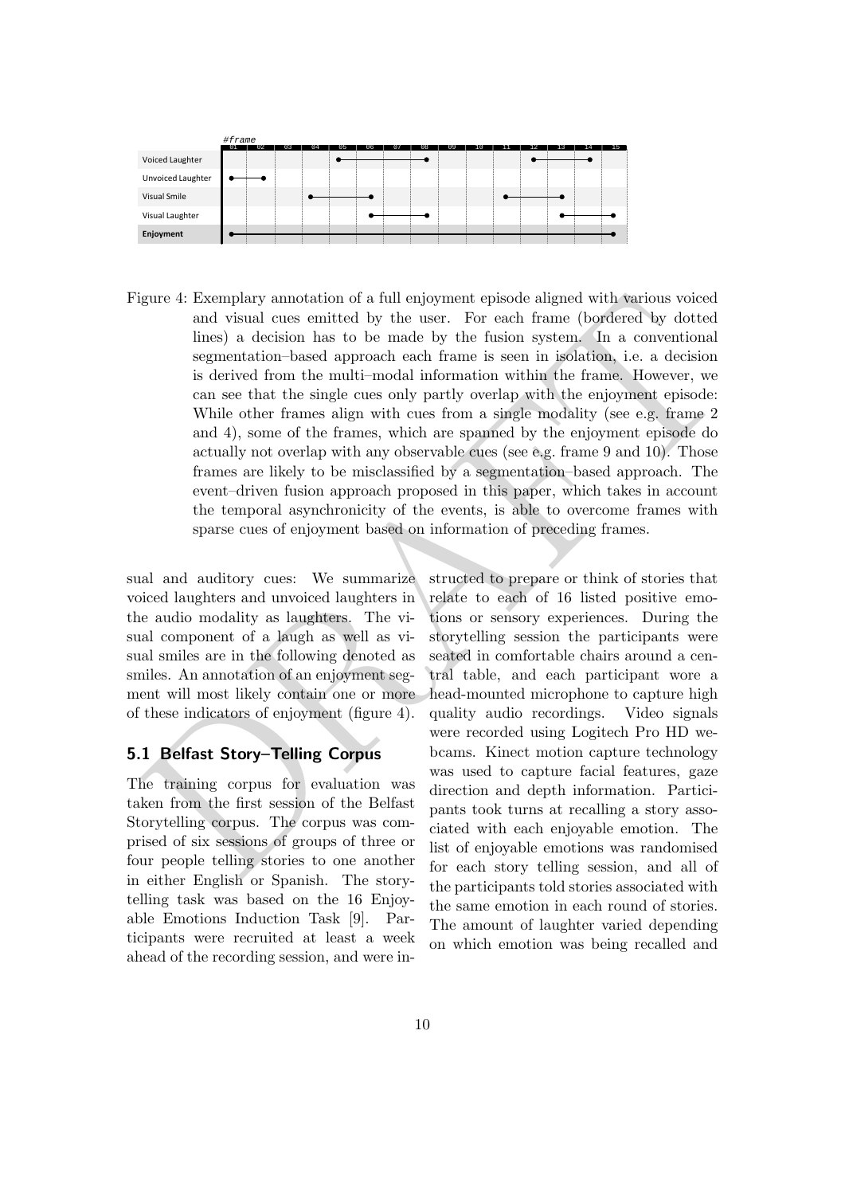

give 4: Exemplay annotation of a full eniry<br>menteptioned aligned with various voiced and visual cuese minited by the user. For each frame (border<br>d lines) a decision has to be made by the fusion system, In a conventional Figure 4: Exemplary annotation of a full enjoyment episode aligned with various voiced and visual cues emitted by the user. For each frame (bordered by dotted lines) a decision has to be made by the fusion system. In a conventional segmentation–based approach each frame is seen in isolation, i.e. a decision is derived from the multi–modal information within the frame. However, we can see that the single cues only partly overlap with the enjoyment episode: While other frames align with cues from a single modality (see e.g. frame 2) and 4), some of the frames, which are spanned by the enjoyment episode do actually not overlap with any observable cues (see e.g. frame 9 and 10). Those frames are likely to be misclassified by a segmentation–based approach. The event–driven fusion approach proposed in this paper, which takes in account the temporal asynchronicity of the events, is able to overcome frames with sparse cues of enjoyment based on information of preceding frames.

sual and auditory cues: We summarize voiced laughters and unvoiced laughters in the audio modality as laughters. The visual component of a laugh as well as visual smiles are in the following denoted as smiles. An annotation of an enjoyment segment will most likely contain one or more of these indicators of enjoyment (figure 4).

#### 5.1 Belfast Story–Telling Corpus

The training corpus for evaluation was taken from the first session of the Belfast Storytelling corpus. The corpus was comprised of six sessions of groups of three or four people telling stories to one another in either English or Spanish. The storytelling task was based on the 16 Enjoyable Emotions Induction Task [9]. Participants were recruited at least a week ahead of the recording session, and were instructed to prepare or think of stories that relate to each of 16 listed positive emotions or sensory experiences. During the storytelling session the participants were seated in comfortable chairs around a central table, and each participant wore a head-mounted microphone to capture high quality audio recordings. Video signals were recorded using Logitech Pro HD webcams. Kinect motion capture technology was used to capture facial features, gaze direction and depth information. Participants took turns at recalling a story associated with each enjoyable emotion. The list of enjoyable emotions was randomised for each story telling session, and all of the participants told stories associated with the same emotion in each round of stories. The amount of laughter varied depending on which emotion was being recalled and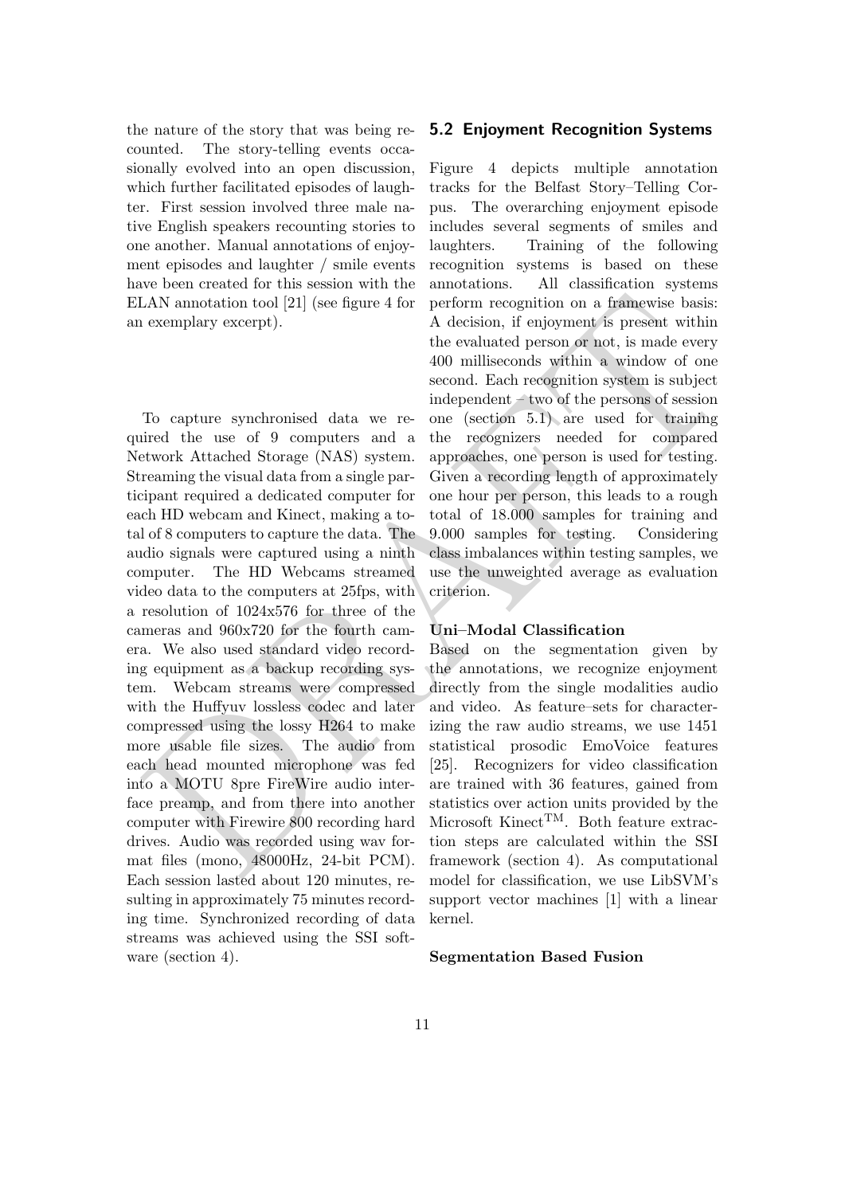the nature of the story that was being recounted. The story-telling events occasionally evolved into an open discussion, which further facilitated episodes of laughter. First session involved three male native English speakers recounting stories to one another. Manual annotations of enjoyment episodes and laughter / smile events have been created for this session with the ELAN annotation tool [21] (see figure 4 for an exemplary excerpt).

LAN annotation tool [21] (see figure 4 for perform recognition on a framewise basis:<br>
A decision, if enjoyment is present within<br>
the evaluated person or not, is made every<br>
400 milliseconds within a window of one<br>
second To capture synchronised data we required the use of 9 computers and a Network Attached Storage (NAS) system. Streaming the visual data from a single participant required a dedicated computer for each HD webcam and Kinect, making a total of 8 computers to capture the data. The audio signals were captured using a ninth computer. The HD Webcams streamed video data to the computers at 25fps, with a resolution of 1024x576 for three of the cameras and 960x720 for the fourth camera. We also used standard video recording equipment as a backup recording system. Webcam streams were compressed with the Huffyuv lossless codec and later compressed using the lossy H264 to make more usable file sizes. The audio from each head mounted microphone was fed into a MOTU 8pre FireWire audio interface preamp, and from there into another computer with Firewire 800 recording hard drives. Audio was recorded using wav format files (mono, 48000Hz, 24-bit PCM). Each session lasted about 120 minutes, resulting in approximately 75 minutes recording time. Synchronized recording of data streams was achieved using the SSI software (section 4).

#### 5.2 Enjoyment Recognition Systems

Figure 4 depicts multiple annotation tracks for the Belfast Story–Telling Corpus. The overarching enjoyment episode includes several segments of smiles and laughters. Training of the following recognition systems is based on these annotations. All classification systems perform recognition on a framewise basis: A decision, if enjoyment is present within the evaluated person or not, is made every 400 milliseconds within a window of one second. Each recognition system is subject independent – two of the persons of session one (section 5.1) are used for training the recognizers needed for compared approaches, one person is used for testing. Given a recording length of approximately one hour per person, this leads to a rough total of 18.000 samples for training and 9.000 samples for testing. Considering class imbalances within testing samples, we use the unweighted average as evaluation criterion.

#### Uni–Modal Classification

Based on the segmentation given by the annotations, we recognize enjoyment directly from the single modalities audio and video. As feature–sets for characterizing the raw audio streams, we use 1451 statistical prosodic EmoVoice features [25]. Recognizers for video classification are trained with 36 features, gained from statistics over action units provided by the Microsoft Kinect<sup>TM</sup>. Both feature extraction steps are calculated within the SSI framework (section 4). As computational model for classification, we use LibSVM's support vector machines [1] with a linear kernel.

#### Segmentation Based Fusion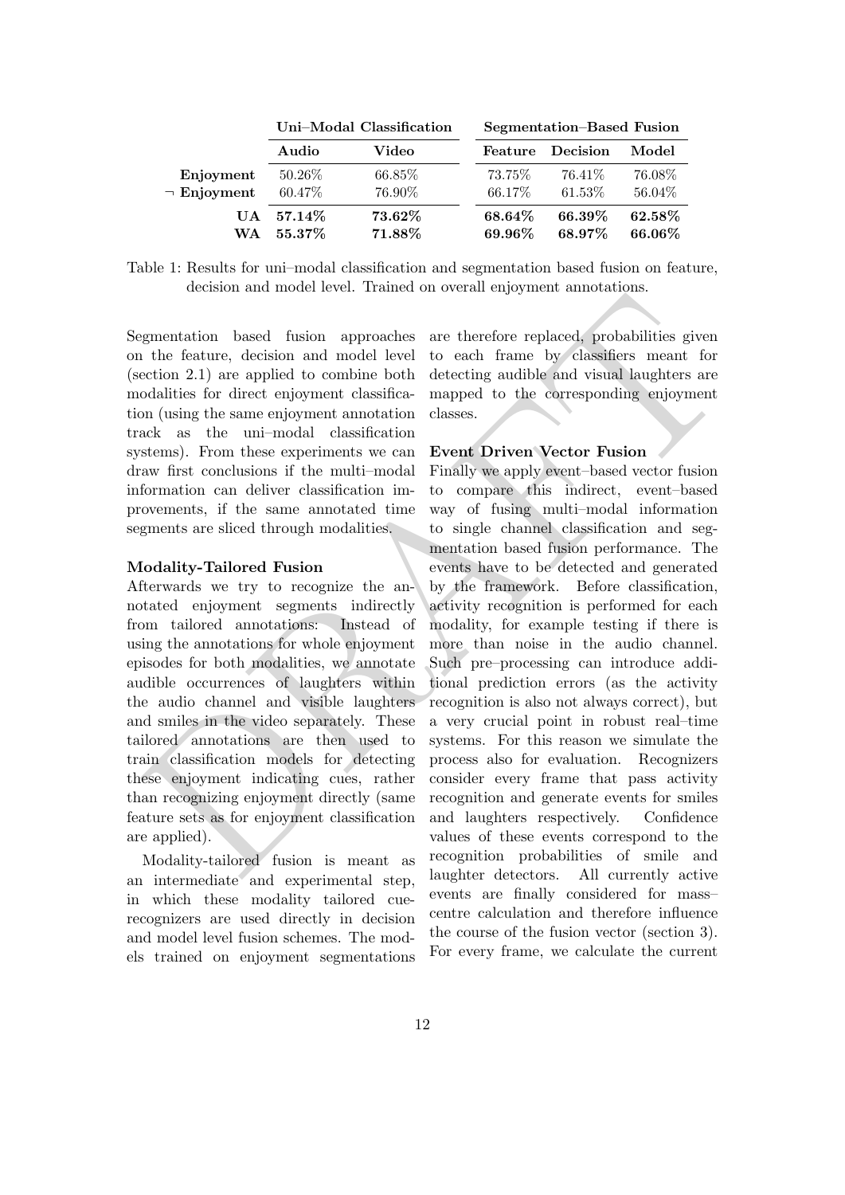|                  | Uni-Modal Classification |           | Segmentation-Based Fusion |           |        |
|------------------|--------------------------|-----------|---------------------------|-----------|--------|
|                  | Audio                    | Video     | Feature                   | Decision  | Model  |
| Enjoyment        | $50.26\%$                | 66.85%    | 73.75%                    | 76.41\%   | 76.08% |
| $\neg$ Enjoyment | 60.47%                   | 76.90%    | 66.17\%                   | $61.53\%$ | 56.04% |
| UA.              | $57.14\%$                | $73.62\%$ | 68.64\%                   | 66.39%    | 62.58% |
| WA.              | $55.37\%$                | 71.88%    | 69.96%                    | $68.97\%$ | 66.06% |

Table 1: Results for uni–modal classification and segmentation based fusion on feature, decision and model level. Trained on overall enjoyment annotations.

Segmentation based fusion approaches on the feature, decision and model level (section 2.1) are applied to combine both modalities for direct enjoyment classification (using the same enjoyment annotation track as the uni–modal classification systems). From these experiments we can draw first conclusions if the multi–modal information can deliver classification improvements, if the same annotated time segments are sliced through modalities.

#### Modality-Tailored Fusion

Afterwards we try to recognize the annotated enjoyment segments indirectly from tailored annotations: Instead of using the annotations for whole enjoyment episodes for both modalities, we annotate audible occurrences of laughters within the audio channel and visible laughters and smiles in the video separately. These tailored annotations are then used to train classification models for detecting these enjoyment indicating cues, rather than recognizing enjoyment directly (same feature sets as for enjoyment classification are applied).

Modality-tailored fusion is meant as an intermediate and experimental step, in which these modality tailored cuerecognizers are used directly in decision and model level fusion schemes. The models trained on enjoyment segmentations are therefore replaced, probabilities given to each frame by classifiers meant for detecting audible and visual laughters are mapped to the corresponding enjoyment classes.

#### Event Driven Vector Fusion

gymentation based fusion approaches are therefore replaced, probabilities given<br>the facture, decision and model level to each frame by classifiers meant for<br>ection 2.1) are applied to combine both detecting audible and vi Finally we apply event–based vector fusion to compare this indirect, event–based way of fusing multi–modal information to single channel classification and segmentation based fusion performance. The events have to be detected and generated by the framework. Before classification, activity recognition is performed for each modality, for example testing if there is more than noise in the audio channel. Such pre–processing can introduce additional prediction errors (as the activity recognition is also not always correct), but a very crucial point in robust real–time systems. For this reason we simulate the process also for evaluation. Recognizers consider every frame that pass activity recognition and generate events for smiles and laughters respectively. Confidence values of these events correspond to the recognition probabilities of smile and laughter detectors. All currently active events are finally considered for mass– centre calculation and therefore influence the course of the fusion vector (section 3). For every frame, we calculate the current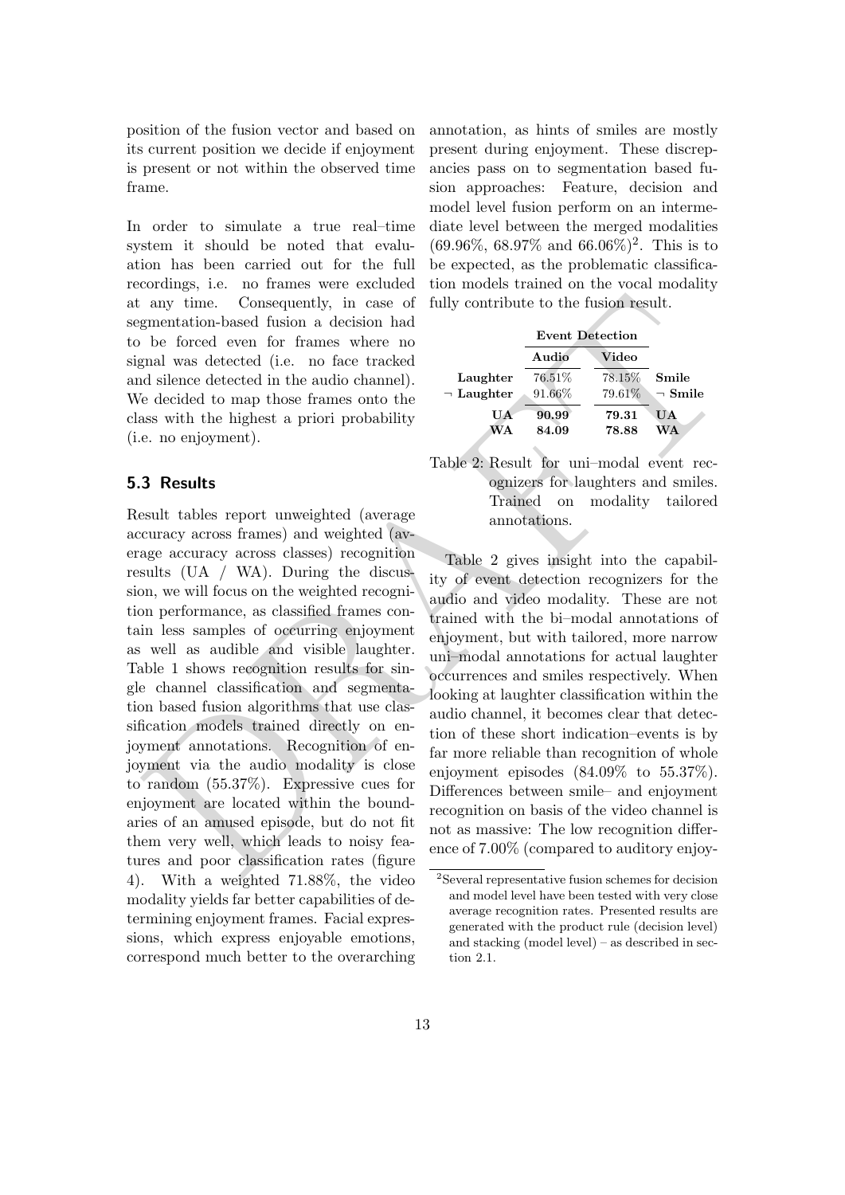position of the fusion vector and based on its current position we decide if enjoyment is present or not within the observed time frame.

In order to simulate a true real–time system it should be noted that evaluation has been carried out for the full recordings, i.e. no frames were excluded at any time. Consequently, in case of segmentation-based fusion a decision had to be forced even for frames where no signal was detected (i.e. no face tracked and silence detected in the audio channel). We decided to map those frames onto the class with the highest a priori probability (i.e. no enjoyment).

### 5.3 Results

any time. Consequently, in case of fully contribute to the fusion result.<br>
Due forced over a decision has designed the fusion cosmit be forced over the frames where no<br>
all all was detected (i.e. no face tracked a<br>
all al Result tables report unweighted (average accuracy across frames) and weighted (average accuracy across classes) recognition results (UA / WA). During the discussion, we will focus on the weighted recognition performance, as classified frames contain less samples of occurring enjoyment as well as audible and visible laughter. Table 1 shows recognition results for single channel classification and segmentation based fusion algorithms that use classification models trained directly on enjoyment annotations. Recognition of enjoyment via the audio modality is close to random (55.37%). Expressive cues for enjoyment are located within the boundaries of an amused episode, but do not fit them very well, which leads to noisy features and poor classification rates (figure 4). With a weighted 71.88%, the video modality yields far better capabilities of determining enjoyment frames. Facial expressions, which express enjoyable emotions, correspond much better to the overarching

annotation, as hints of smiles are mostly present during enjoyment. These discrepancies pass on to segmentation based fusion approaches: Feature, decision and model level fusion perform on an intermediate level between the merged modalities  $(69.96\%, 68.97\% \text{ and } 66.06\%)^2$ . This is to be expected, as the problematic classification models trained on the vocal modality fully contribute to the fusion result.

|                 | <b>Event Detection</b> |        |              |
|-----------------|------------------------|--------|--------------|
|                 | Audio                  | Video  |              |
| Laughter        | 76.51%                 | 78.15% | Smile        |
| $\neg$ Laughter | 91.66%                 | 79.61% | $\neg$ Smile |
| <b>TTA</b>      | 90.99                  | 79.31  | UA           |
| WA              | 84.09                  | 78.88  | WA           |

|              | Table 2: Result for uni-modal event rec- |  |
|--------------|------------------------------------------|--|
|              | ognizers for laughters and smiles.       |  |
|              | Trained on modality tailored             |  |
| annotations. |                                          |  |

Table 2 gives insight into the capability of event detection recognizers for the audio and video modality. These are not trained with the bi–modal annotations of enjoyment, but with tailored, more narrow uni–modal annotations for actual laughter occurrences and smiles respectively. When looking at laughter classification within the audio channel, it becomes clear that detection of these short indication–events is by far more reliable than recognition of whole enjoyment episodes (84.09% to 55.37%). Differences between smile– and enjoyment recognition on basis of the video channel is not as massive: The low recognition difference of 7.00% (compared to auditory enjoy-

<sup>2</sup>Several representative fusion schemes for decision and model level have been tested with very close average recognition rates. Presented results are generated with the product rule (decision level) and stacking (model level) – as described in section 2.1.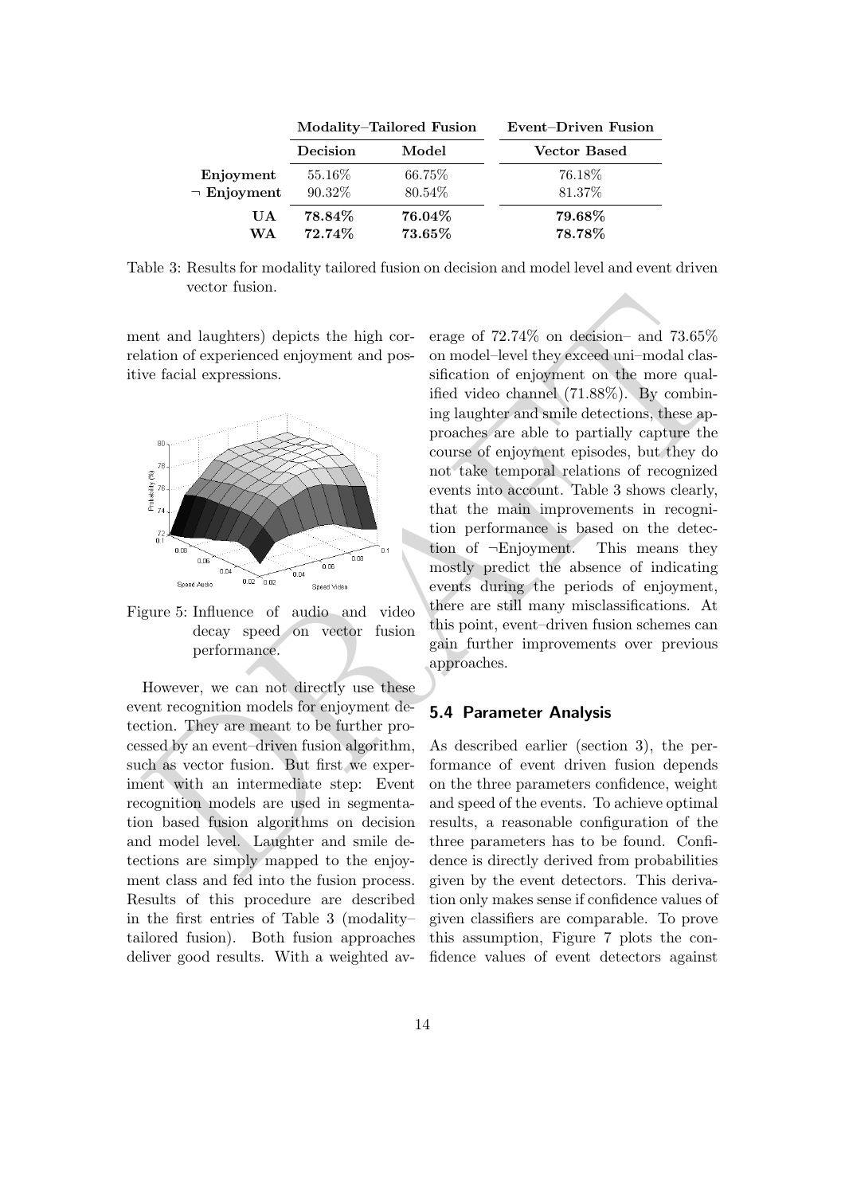|                  | Modality–Tailored Fusion |           | Event-Driven Fusion |
|------------------|--------------------------|-----------|---------------------|
|                  | Decision                 | Model     | <b>Vector Based</b> |
| Enjoyment        | $55.16\%$                | 66.75%    | 76.18%              |
| $\neg$ Enjoyment | 90.32%                   | 80.54%    | 81.37%              |
| UA               | 78.84%                   | $76.04\%$ | 79.68%              |
| WA               | 72.74%                   | $73.65\%$ | 78.78%              |

Table 3: Results for modality tailored fusion on decision and model level and event driven vector fusion.

ment and laughters) depicts the high correlation of experienced enjoyment and positive facial expressions.



Figure 5: Influence of audio and video decay speed on vector fusion performance.

However, we can not directly use these event recognition models for enjoyment detection. They are meant to be further processed by an event–driven fusion algorithm, such as vector fusion. But first we experiment with an intermediate step: Event recognition models are used in segmentation based fusion algorithms on decision and model level. Laughter and smile detections are simply mapped to the enjoyment class and fed into the fusion process. Results of this procedure are described in the first entries of Table 3 (modality– tailored fusion). Both fusion approaches deliver good results. With a weighted av-

ent and laughters) depicts the high correspondent and 73.65% on decision and 73.65% atation of experienced enjoyment and possion model-level they exceed uni-modal calses with the video channel (71.8%). By combining laught erage of 72.74% on decision– and 73.65% on model–level they exceed uni–modal classification of enjoyment on the more qualified video channel (71.88%). By combining laughter and smile detections, these approaches are able to partially capture the course of enjoyment episodes, but they do not take temporal relations of recognized events into account. Table 3 shows clearly, that the main improvements in recognition performance is based on the detection of ¬Enjoyment. This means they mostly predict the absence of indicating events during the periods of enjoyment, there are still many misclassifications. At this point, event–driven fusion schemes can gain further improvements over previous approaches.

#### 5.4 Parameter Analysis

As described earlier (section 3), the performance of event driven fusion depends on the three parameters confidence, weight and speed of the events. To achieve optimal results, a reasonable configuration of the three parameters has to be found. Confidence is directly derived from probabilities given by the event detectors. This derivation only makes sense if confidence values of given classifiers are comparable. To prove this assumption, Figure 7 plots the confidence values of event detectors against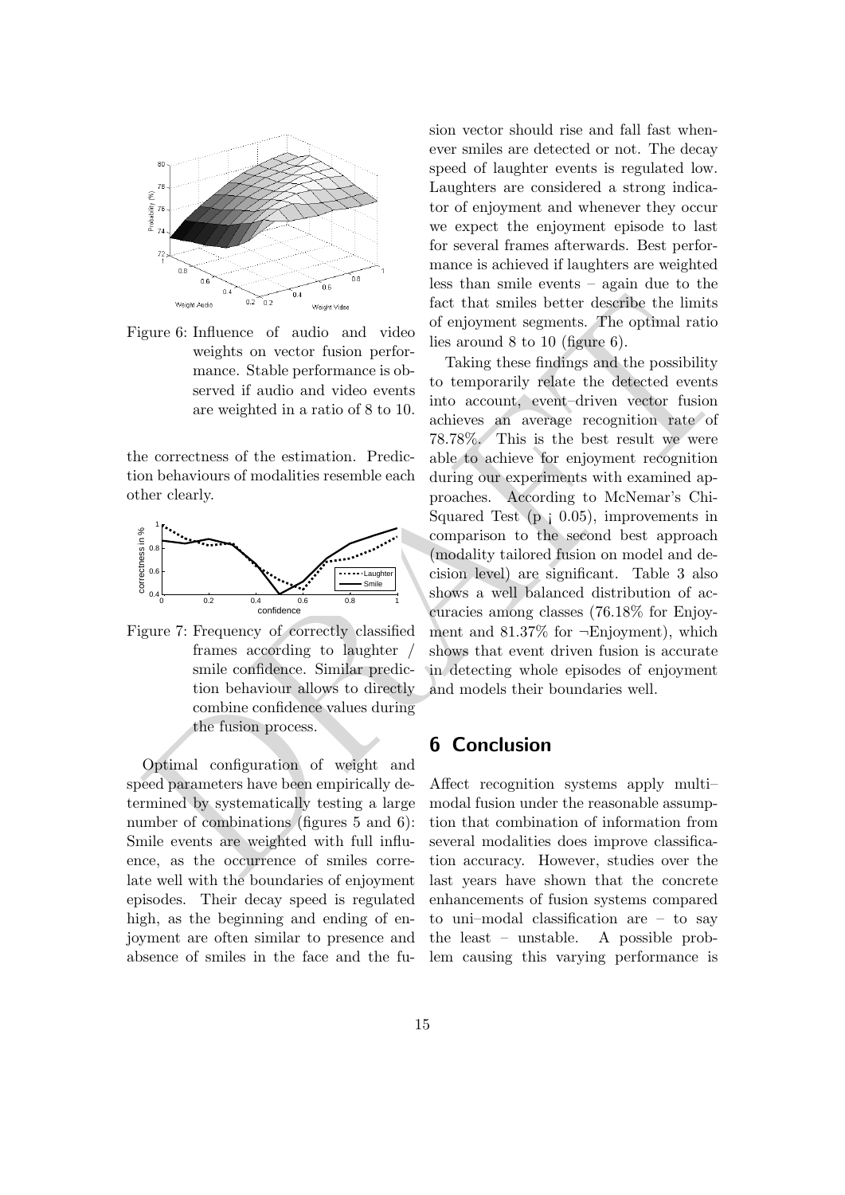

Figure 6: Influence of audio and video weights on vector fusion performance. Stable performance is observed if audio and video events are weighted in a ratio of 8 to 10.

the correctness of the estimation. Prediction behaviours of modalities resemble each other clearly.



Figure 7: Frequency of correctly classified frames according to laughter smile confidence. Similar prediction behaviour allows to directly combine confidence values during the fusion process.

Optimal configuration of weight and speed parameters have been empirically determined by systematically testing a large number of combinations (figures 5 and 6): Smile events are weighted with full influence, as the occurrence of smiles correlate well with the boundaries of enjoyment episodes. Their decay speed is regulated high, as the beginning and ending of enjoyment are often similar to presence and absence of smiles in the face and the fusion vector should rise and fall fast whenever smiles are detected or not. The decay speed of laughter events is regulated low. Laughters are considered a strong indicator of enjoyment and whenever they occur we expect the enjoyment episode to last for several frames afterwards. Best performance is achieved if laughters are weighted less than smile events – again due to the fact that smiles better describe the limits of enjoyment segments. The optimal ratio lies around 8 to 10 (figure 6).

DRAFT Taking these findings and the possibility to temporarily relate the detected events into account, event–driven vector fusion achieves an average recognition rate of 78.78%. This is the best result we were able to achieve for enjoyment recognition during our experiments with examined approaches. According to McNemar's Chi-Squared Test  $(p \mid 0.05)$ , improvements in comparison to the second best approach (modality tailored fusion on model and decision level) are significant. Table 3 also shows a well balanced distribution of accuracies among classes (76.18% for Enjoyment and  $81.37\%$  for  $\neg$ Enjoyment), which shows that event driven fusion is accurate in detecting whole episodes of enjoyment and models their boundaries well.

# 6 Conclusion

Affect recognition systems apply multi– modal fusion under the reasonable assumption that combination of information from several modalities does improve classification accuracy. However, studies over the last years have shown that the concrete enhancements of fusion systems compared to uni–modal classification are – to say the least – unstable. A possible problem causing this varying performance is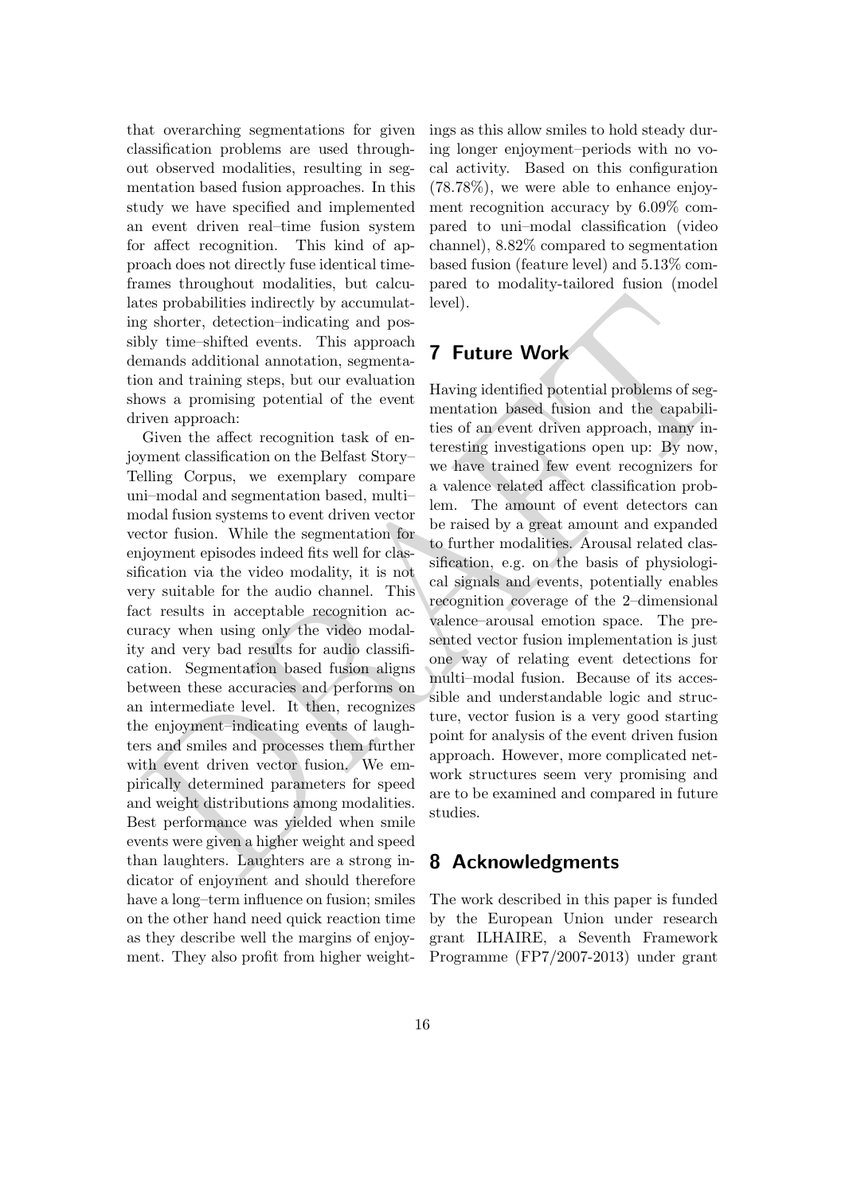that overarching segmentations for given classification problems are used throughout observed modalities, resulting in segmentation based fusion approaches. In this study we have specified and implemented an event driven real–time fusion system for affect recognition. This kind of approach does not directly fuse identical timeframes throughout modalities, but calculates probabilities indirectly by accumulating shorter, detection–indicating and possibly time–shifted events. This approach demands additional annotation, segmentation and training steps, but our evaluation shows a promising potential of the event driven approach:

Given the affect recognition task of enjoyment classification on the Belfast Story– Telling Corpus, we exemplary compare uni–modal and segmentation based, multi– modal fusion systems to event driven vector vector fusion. While the segmentation for enjoyment episodes indeed fits well for classification via the video modality, it is not very suitable for the audio channel. This fact results in acceptable recognition accuracy when using only the video modality and very bad results for audio classification. Segmentation based fusion aligns between these accuracies and performs on an intermediate level. It then, recognizes the enjoyment–indicating events of laughters and smiles and processes them further with event driven vector fusion. We empirically determined parameters for speed and weight distributions among modalities. Best performance was yielded when smile events were given a higher weight and speed than laughters. Laughters are a strong indicator of enjoyment and should therefore have a long–term influence on fusion; smiles on the other hand need quick reaction time as they describe well the margins of enjoyment. They also profit from higher weightings as this allow smiles to hold steady during longer enjoyment–periods with no vocal activity. Based on this configuration (78.78%), we were able to enhance enjoyment recognition accuracy by 6.09% compared to uni–modal classification (video channel), 8.82% compared to segmentation based fusion (feature level) and 5.13% compared to modality-tailored fusion (model level).

# 7 Future Work

tes probabilities indirectly by accumulat-<br>
level). Substrate indirectly and position-indicating and positions and positions and taining and positions of segmental<br>
mands additional annotation, segmentar **7** Future Work<br> Having identified potential problems of segmentation based fusion and the capabilities of an event driven approach, many interesting investigations open up: By now, we have trained few event recognizers for a valence related affect classification problem. The amount of event detectors can be raised by a great amount and expanded to further modalities. Arousal related classification, e.g. on the basis of physiological signals and events, potentially enables recognition coverage of the 2–dimensional valence–arousal emotion space. The presented vector fusion implementation is just one way of relating event detections for multi–modal fusion. Because of its accessible and understandable logic and structure, vector fusion is a very good starting point for analysis of the event driven fusion approach. However, more complicated network structures seem very promising and are to be examined and compared in future studies.

## 8 Acknowledgments

The work described in this paper is funded by the European Union under research grant ILHAIRE, a Seventh Framework Programme (FP7/2007-2013) under grant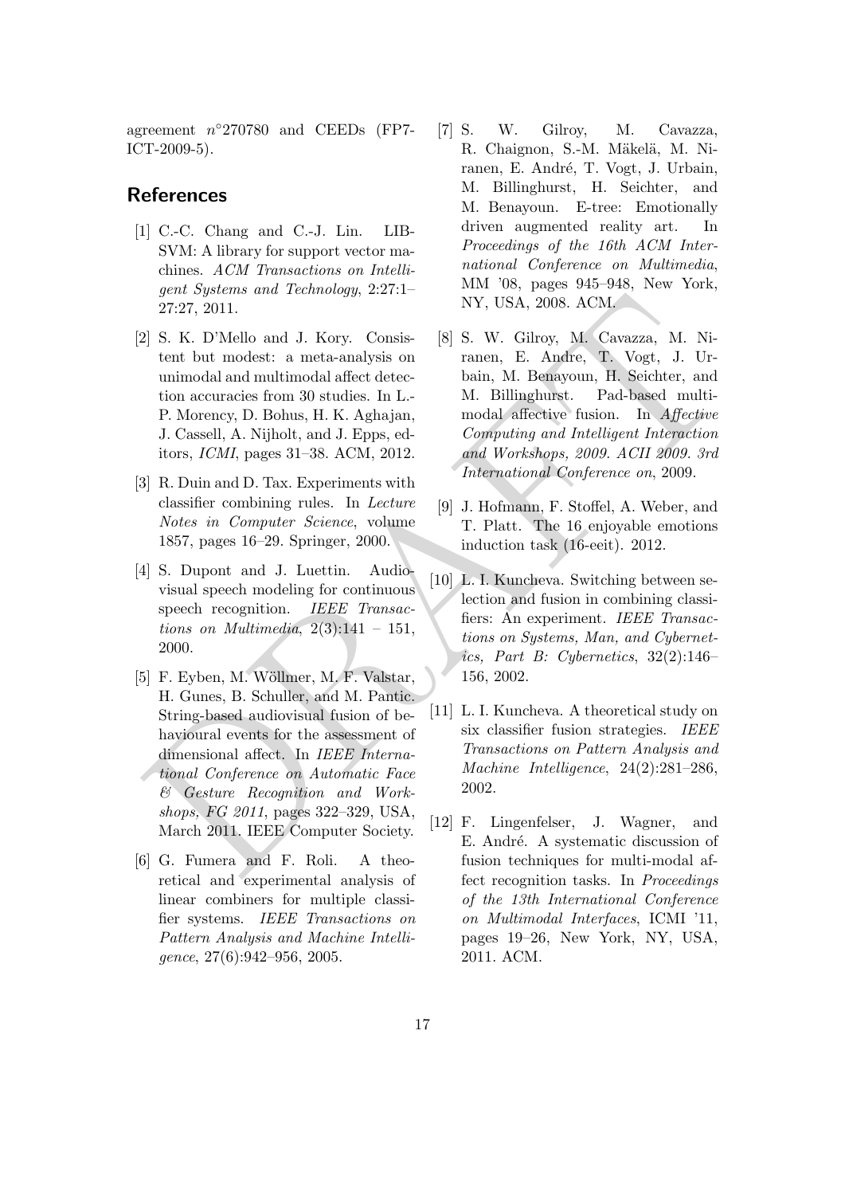agreement n ◦270780 and CEEDs (FP7- ICT-2009-5).

# **References**

- [1] C.-C. Chang and C.-J. Lin. LIB-SVM: A library for support vector machines. ACM Transactions on Intelligent Systems and Technology, 2:27:1– 27:27, 2011.
- [2] S. K. D'Mello and J. Kory. Consistent but modest: a meta-analysis on unimodal and multimodal affect detection accuracies from 30 studies. In L.- P. Morency, D. Bohus, H. K. Aghajan, J. Cassell, A. Nijholt, and J. Epps, editors, ICMI, pages 31–38. ACM, 2012.
- [3] R. Duin and D. Tax. Experiments with classifier combining rules. In Lecture Notes in Computer Science, volume 1857, pages 16–29. Springer, 2000.
- [4] S. Dupont and J. Luettin. Audiovisual speech modeling for continuous speech recognition. IEEE Transactions on Multimedia,  $2(3):141 - 151$ , 2000.
- 27:27, 2011.<br>
27:27, 2011.<br>
27:27, 2011.<br>
28. K. D'Mello and J. Kory. Consis<br>
28. K. D'Mello and J. Kory. Consis<br>
28. K. D'Mello and J. Kory. Consis<br>
28. K. D'Mello and J. Kory. Consis<br>
29. K. D'Mello and J. Kory. Consis<br> [5] F. Eyben, M. Wöllmer, M. F. Valstar, H. Gunes, B. Schuller, and M. Pantic. String-based audiovisual fusion of behavioural events for the assessment of dimensional affect. In IEEE International Conference on Automatic Face & Gesture Recognition and Workshops, FG 2011, pages 322–329, USA, March 2011. IEEE Computer Society.
- [6] G. Fumera and F. Roli. A theoretical and experimental analysis of linear combiners for multiple classifier systems. IEEE Transactions on Pattern Analysis and Machine Intelligence, 27(6):942–956, 2005.
- [7] S. W. Gilroy, M. Cavazza, R. Chaignon, S.-M. Mäkelä, M. Niranen, E. André, T. Vogt, J. Urbain, M. Billinghurst, H. Seichter, and M. Benayoun. E-tree: Emotionally driven augmented reality art. In Proceedings of the 16th ACM International Conference on Multimedia, MM '08, pages 945–948, New York, NY, USA, 2008. ACM.
- [8] S. W. Gilroy, M. Cavazza, M. Niranen, E. Andre, T. Vogt, J. Urbain, M. Benayoun, H. Seichter, and M. Billinghurst. Pad-based multimodal affective fusion. In Affective Computing and Intelligent Interaction and Workshops, 2009. ACII 2009. 3rd International Conference on, 2009.
- [9] J. Hofmann, F. Stoffel, A. Weber, and T. Platt. The 16 enjoyable emotions induction task (16-eeit). 2012.
- [10] L. I. Kuncheva. Switching between selection and fusion in combining classifiers: An experiment. IEEE Transactions on Systems, Man, and Cybernetics, Part B: Cybernetics, 32(2):146– 156, 2002.
- [11] L. I. Kuncheva. A theoretical study on six classifier fusion strategies. IEEE Transactions on Pattern Analysis and Machine Intelligence, 24(2):281–286, 2002.
- [12] F. Lingenfelser, J. Wagner, and E. André. A systematic discussion of fusion techniques for multi-modal affect recognition tasks. In Proceedings of the 13th International Conference on Multimodal Interfaces, ICMI '11, pages 19–26, New York, NY, USA, 2011. ACM.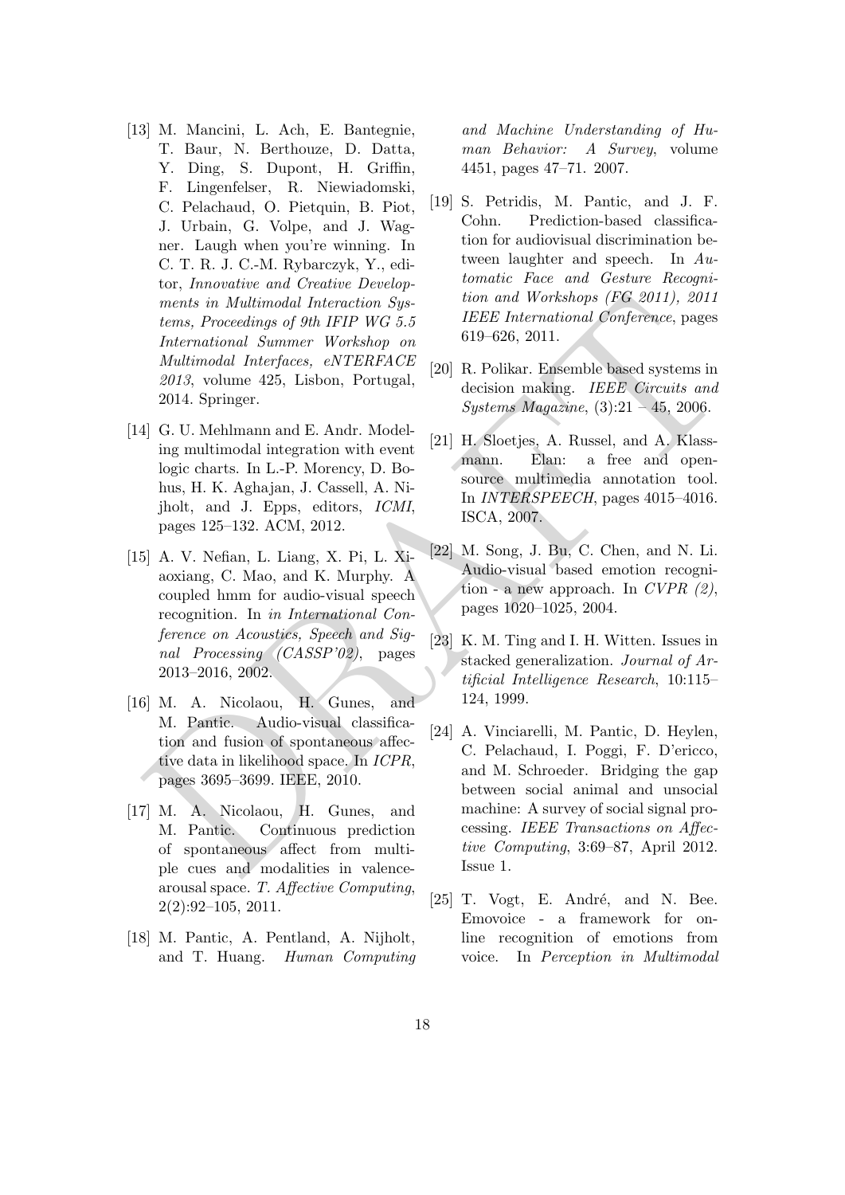- [13] M. Mancini, L. Ach, E. Bantegnie, T. Baur, N. Berthouze, D. Datta, Y. Ding, S. Dupont, H. Griffin, F. Lingenfelser, R. Niewiadomski, C. Pelachaud, O. Pietquin, B. Piot, J. Urbain, G. Volpe, and J. Wagner. Laugh when you're winning. In C. T. R. J. C.-M. Rybarczyk, Y., editor, Innovative and Creative Developments in Multimodal Interaction Systems, Proceedings of 9th IFIP WG 5.5 International Summer Workshop on Multimodal Interfaces, eNTERFACE 2013, volume 425, Lisbon, Portugal, 2014. Springer.
- [14] G. U. Mehlmann and E. Andr. Modeling multimodal integration with event logic charts. In L.-P. Morency, D. Bohus, H. K. Aghajan, J. Cassell, A. Nijholt, and J. Epps, editors, ICMI, pages 125–132. ACM, 2012.
- [15] A. V. Nefian, L. Liang, X. Pi, L. Xiaoxiang, C. Mao, and K. Murphy. A coupled hmm for audio-visual speech recognition. In in International Conference on Acoustics, Speech and Signal Processing (CASSP'02), pages 2013–2016, 2002.
- [16] M. A. Nicolaou, H. Gunes, and M. Pantic. Audio-visual classification and fusion of spontaneous affective data in likelihood space. In ICPR, pages 3695–3699. IEEE, 2010.
- [17] M. A. Nicolaou, H. Gunes, and M. Pantic. Continuous prediction of spontaneous affect from multiple cues and modalities in valencearousal space. T. Affective Computing,  $2(2):92-105$ , 2011.
- [18] M. Pantic, A. Pentland, A. Nijholt, and T. Huang. Human Computing

and Machine Understanding of Human Behavior: A Survey, volume 4451, pages 47–71. 2007.

- [19] S. Petridis, M. Pantic, and J. F. Cohn. Prediction-based classification for audiovisual discrimination between laughter and speech. In Automatic Face and Gesture Recognition and Workshops (FG 2011), 2011 IEEE International Conference, pages 619–626, 2011.
- [20] R. Polikar. Ensemble based systems in decision making. IEEE Circuits and Systems Magazine,  $(3):21 - 45$ , 2006.
- [21] H. Sloetjes, A. Russel, and A. Klassmann. Elan: a free and opensource multimedia annotation tool. In INTERSPEECH, pages 4015–4016. ISCA, 2007.
- [22] M. Song, J. Bu, C. Chen, and N. Li. Audio-visual based emotion recognition - a new approach. In CVPR  $(2)$ , pages 1020–1025, 2004.
- [23] K. M. Ting and I. H. Witten. Issues in stacked generalization. Journal of Artificial Intelligence Research, 10:115– 124, 1999.
- ments in Multimodal Interaction Sys.<br>
IEEE International Workshops (EG 2011), 2011 thermational Summer Workshop on  $^{12}$  IEEE International Conference, pages<br>
2013, column e425, Lisbon, Portugal, 201] R. Polikar, Ensembl [24] A. Vinciarelli, M. Pantic, D. Heylen, C. Pelachaud, I. Poggi, F. D'ericco, and M. Schroeder. Bridging the gap between social animal and unsocial machine: A survey of social signal processing. IEEE Transactions on Affective Computing, 3:69–87, April 2012. Issue 1.
	- $[25]$  T. Vogt, E. André, and N. Bee. Emovoice - a framework for online recognition of emotions from voice. In Perception in Multimodal